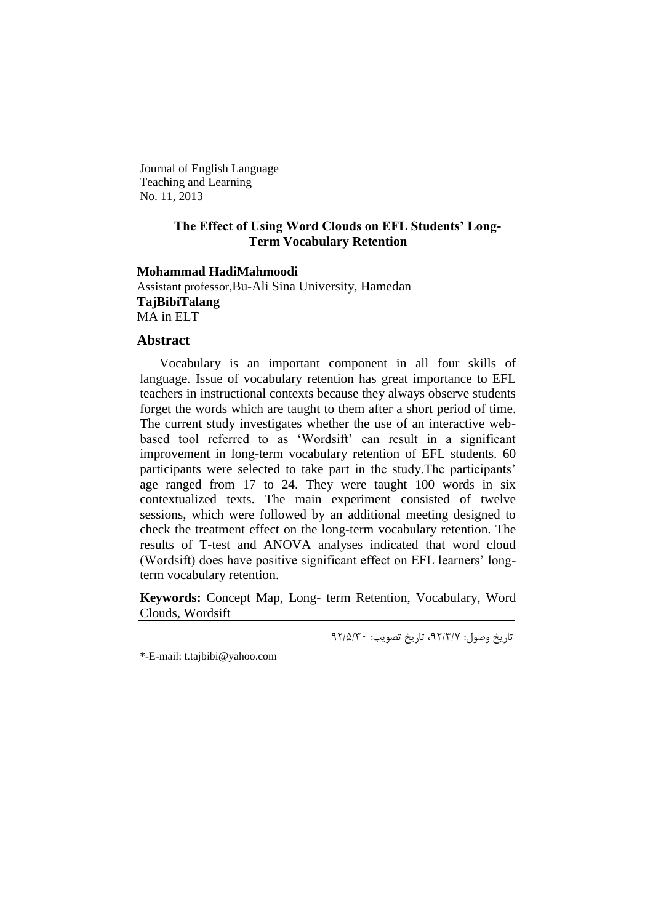Journal of English Language Teaching and Learning No. 11, 2013

# **The Effect of Using Word Clouds on EFL Students' Long-Term Vocabulary Retention**

### **Mohammad HadiMahmoodi**

Assistant professor,Bu-Ali Sina University, Hamedan **TajBibiTalang** MA in ELT

#### **Abstract**

Vocabulary is an important component in all four skills of language. Issue of vocabulary retention has great importance to EFL teachers in instructional contexts because they always observe students forget the words which are taught to them after a short period of time. The current study investigates whether the use of an interactive webbased tool referred to as 'Wordsift' can result in a significant improvement in long-term vocabulary retention of EFL students. 60 participants were selected to take part in the study. The participants' age ranged from 17 to 24. They were taught 100 words in six contextualized texts. The main experiment consisted of twelve sessions, which were followed by an additional meeting designed to check the treatment effect on the long-term vocabulary retention. The results of T-test and ANOVA analyses indicated that word cloud (Wordsift) does have positive significant effect on EFL learners' longterm vocabulary retention.

**Keywords:** Concept Map, Long- term Retention, Vocabulary, Word Clouds, Wordsift

تاریخ وصول: ۹۲/۳/۷، تاریخ تصویب: ۹۲/۵/۳۰

\*-E-mail: t.tajbibi@yahoo.com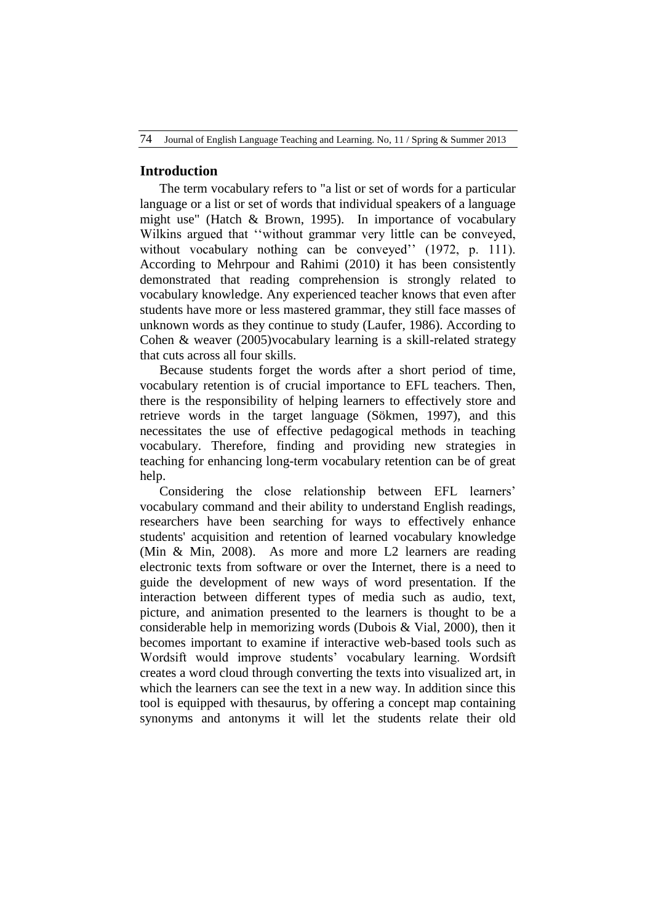# **Introduction**

The term vocabulary refers to "a list or set of words for a particular language or a list or set of words that individual speakers of a language might use" (Hatch & Brown, 1995). In importance of vocabulary Wilkins argued that "without grammar very little can be conveyed, without vocabulary nothing can be conveyed" (1972, p. 111). According to Mehrpour and Rahimi (2010) it has been consistently demonstrated that reading comprehension is strongly related to vocabulary knowledge. Any experienced teacher knows that even after students have more or less mastered grammar, they still face masses of unknown words as they continue to study (Laufer, 1986). According to Cohen & weaver (2005)vocabulary learning is a skill-related strategy that cuts across all four skills.

Because students forget the words after a short period of time, vocabulary retention is of crucial importance to EFL teachers. Then, there is the responsibility of helping learners to effectively store and retrieve words in the target language (Sökmen, 1997), and this necessitates the use of effective pedagogical methods in teaching vocabulary. Therefore, finding and providing new strategies in teaching for enhancing long-term vocabulary retention can be of great help.

Considering the close relationship between EFL learners" vocabulary command and their ability to understand English readings, researchers have been searching for ways to effectively enhance students' acquisition and retention of learned vocabulary knowledge (Min & Min, 2008). As more and more L2 learners are reading electronic texts from software or over the Internet, there is a need to guide the development of new ways of word presentation. If the interaction between different types of media such as audio, text, picture, and animation presented to the learners is thought to be a considerable help in memorizing words (Dubois & Vial, 2000), then it becomes important to examine if interactive web-based tools such as Wordsift would improve students' vocabulary learning. Wordsift creates a word cloud through converting the texts into visualized art, in which the learners can see the text in a new way. In addition since this tool is equipped with thesaurus, by offering a concept map containing synonyms and antonyms it will let the students relate their old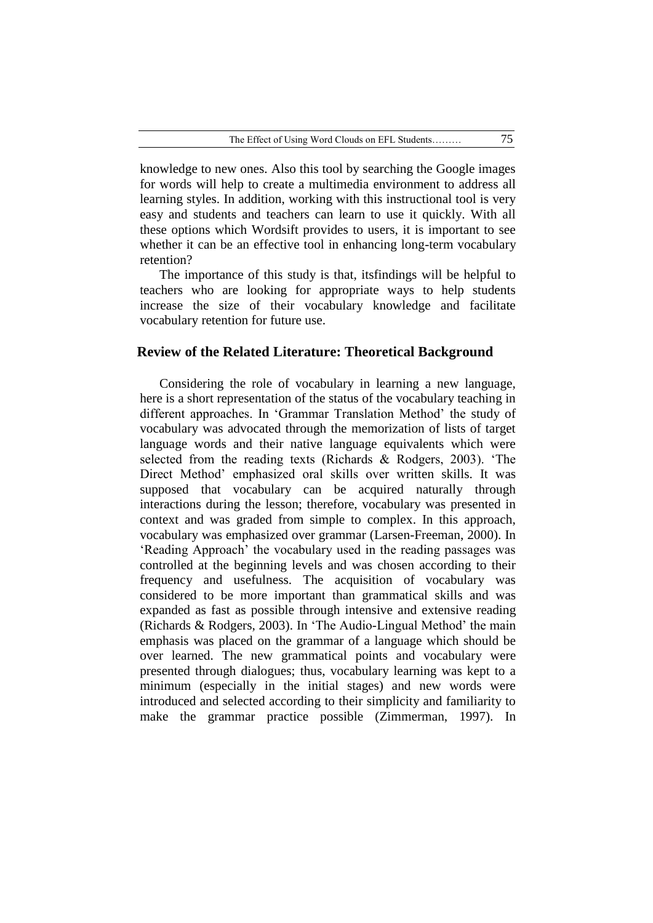knowledge to new ones. Also this tool by searching the Google images for words will help to create a multimedia environment to address all learning styles. In addition, working with this instructional tool is very easy and students and teachers can learn to use it quickly. With all these options which Wordsift provides to users, it is important to see whether it can be an effective tool in enhancing long-term vocabulary retention?

The importance of this study is that, itsfindings will be helpful to teachers who are looking for appropriate ways to help students increase the size of their vocabulary knowledge and facilitate vocabulary retention for future use.

### **Review of the Related Literature: Theoretical Background**

Considering the role of vocabulary in learning a new language, here is a short representation of the status of the vocabulary teaching in different approaches. In "Grammar Translation Method" the study of vocabulary was advocated through the memorization of lists of target language words and their native language equivalents which were selected from the reading texts (Richards & Rodgers, 2003). "The Direct Method" emphasized oral skills over written skills. It was supposed that vocabulary can be acquired naturally through interactions during the lesson; therefore, vocabulary was presented in context and was graded from simple to complex. In this approach, vocabulary was emphasized over grammar (Larsen-Freeman, 2000). In "Reading Approach" the vocabulary used in the reading passages was controlled at the beginning levels and was chosen according to their frequency and usefulness. The acquisition of vocabulary was considered to be more important than grammatical skills and was expanded as fast as possible through intensive and extensive reading (Richards & Rodgers, 2003). In "The Audio-Lingual Method" the main emphasis was placed on the grammar of a language which should be over learned. The new grammatical points and vocabulary were presented through dialogues; thus, vocabulary learning was kept to a minimum (especially in the initial stages) and new words were introduced and selected according to their simplicity and familiarity to make the grammar practice possible (Zimmerman, 1997). In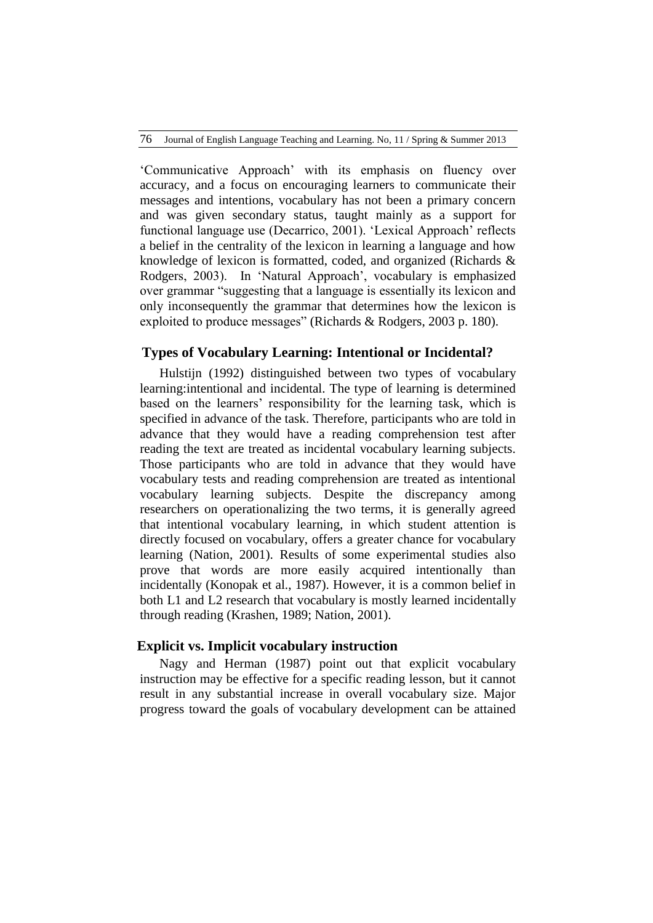"Communicative Approach" with its emphasis on fluency over accuracy, and a focus on encouraging learners to communicate their messages and intentions, vocabulary has not been a primary concern and was given secondary status, taught mainly as a support for functional language use (Decarrico, 2001). 'Lexical Approach' reflects a belief in the centrality of the lexicon in learning a language and how knowledge of lexicon is formatted, coded, and organized (Richards & Rodgers, 2003). In "Natural Approach", vocabulary is emphasized over grammar "suggesting that a language is essentially its lexicon and only inconsequently the grammar that determines how the lexicon is exploited to produce messages" (Richards & Rodgers, 2003 p. 180).

# **Types of Vocabulary Learning: Intentional or Incidental?**

Hulstijn (1992) distinguished between two types of vocabulary learning:intentional and incidental. The type of learning is determined based on the learners" responsibility for the learning task, which is specified in advance of the task. Therefore, participants who are told in advance that they would have a reading comprehension test after reading the text are treated as incidental vocabulary learning subjects. Those participants who are told in advance that they would have vocabulary tests and reading comprehension are treated as intentional vocabulary learning subjects. Despite the discrepancy among researchers on operationalizing the two terms, it is generally agreed that intentional vocabulary learning, in which student attention is directly focused on vocabulary, offers a greater chance for vocabulary learning (Nation, 2001). Results of some experimental studies also prove that words are more easily acquired intentionally than incidentally (Konopak et al., 1987). However, it is a common belief in both L1 and L2 research that vocabulary is mostly learned incidentally through reading (Krashen, 1989; Nation, 2001).

# **Explicit vs. Implicit vocabulary instruction**

Nagy and Herman (1987) point out that explicit vocabulary instruction may be effective for a specific reading lesson, but it cannot result in any substantial increase in overall vocabulary size. Major progress toward the goals of vocabulary development can be attained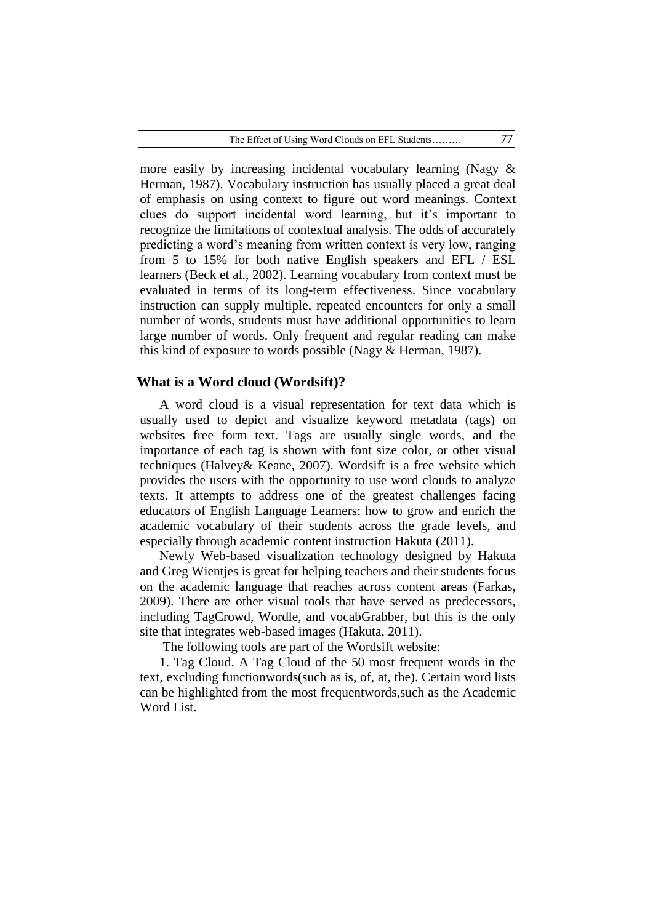more easily by increasing incidental vocabulary learning (Nagy & Herman, 1987). Vocabulary instruction has usually placed a great deal of emphasis on using context to figure out word meanings. Context clues do support incidental word learning, but it"s important to recognize the limitations of contextual analysis. The odds of accurately predicting a word"s meaning from written context is very low, ranging from 5 to 15% for both native English speakers and EFL / ESL learners (Beck et al., 2002). Learning vocabulary from context must be evaluated in terms of its long-term effectiveness. Since vocabulary instruction can supply multiple, repeated encounters for only a small number of words, students must have additional opportunities to learn large number of words. Only frequent and regular reading can make this kind of exposure to words possible (Nagy & Herman, 1987).

#### **What is a Word cloud (Wordsift)?**

A word cloud is a visual representation for text data which is usually used to depict and visualize [keyword metadata \(tags\) o](http://en.wikipedia.org/wiki/Tag_(metadata))n websites free form text. Tags are usually single words, and the importance of each tag is shown with font size color, or other visual techniques (Halvey& Keane, 2007). Wordsift is a free website which provides the users with the opportunity to use word clouds to analyze texts. It attempts to address one of the greatest challenges facing educators of English Language Learners: how to grow and enrich the academic vocabulary of their students across the grade levels, and especially through academic content instruction Hakuta (2011).

Newly Web-based visualization technology designed by Hakuta and Greg Wientjes is great for helping teachers and their students focus on the academic language that reaches across content areas (Farkas, 2009). There are other visual tools that have served as predecessors, including TagCrowd, Wordle, and vocabGrabber, but this is the only site that integrates web-based images (Hakuta, 2011).

The following tools are part of the Wordsift website:

1. Tag Cloud. A Tag Cloud of the 50 most frequent words in the text, excluding functionwords(such as is, of, at, the). Certain word lists can be highlighted from the most frequentwords,such as the Academic Word List.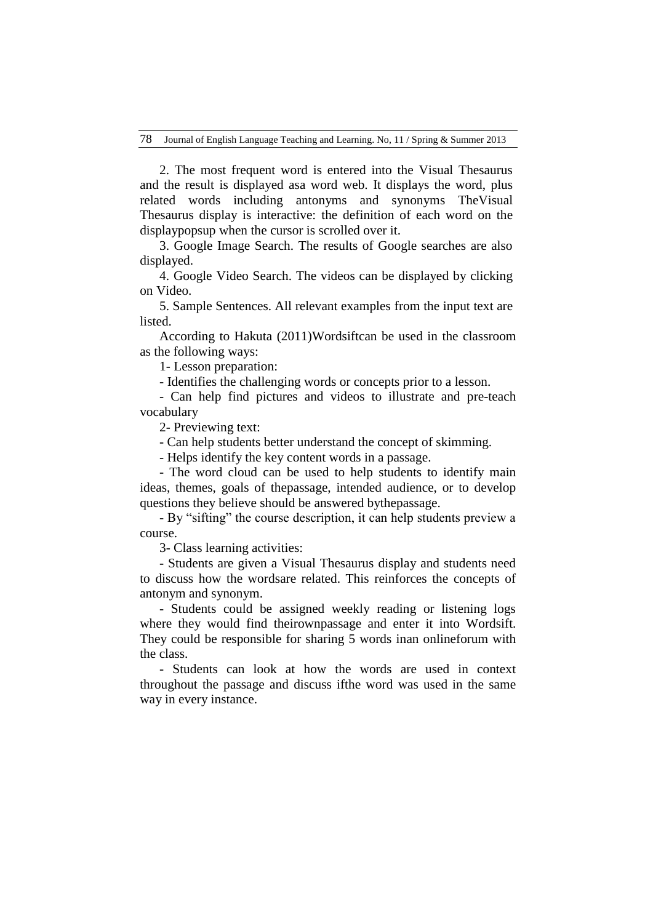2. The most frequent word is entered into the Visual Thesaurus and the result is displayed asa word web. It displays the word, plus related words including antonyms and synonyms TheVisual Thesaurus display is interactive: the definition of each word on the displaypopsup when the cursor is scrolled over it.

3. Google Image Search. The results of Google searches are also displayed.

4. Google Video Search. The videos can be displayed by clicking on Video.

5. Sample Sentences. All relevant examples from the input text are listed.

According to Hakuta (2011)Wordsiftcan be used in the classroom as the following ways:

1- Lesson preparation:

- Identifies the challenging words or concepts prior to a lesson.

- Can help find pictures and videos to illustrate and pre-teach vocabulary

2- Previewing text:

- Can help students better understand the concept of skimming.

- Helps identify the key content words in a passage.

- The word cloud can be used to help students to identify main ideas, themes, goals of thepassage, intended audience, or to develop questions they believe should be answered bythepassage.

- By "sifting" the course description, it can help students preview a course.

3- Class learning activities:

- Students are given a Visual Thesaurus display and students need to discuss how the wordsare related. This reinforces the concepts of antonym and synonym.

- Students could be assigned weekly reading or listening logs where they would find theirownpassage and enter it into Wordsift. They could be responsible for sharing 5 words inan onlineforum with the class.

- Students can look at how the words are used in context throughout the passage and discuss ifthe word was used in the same way in every instance.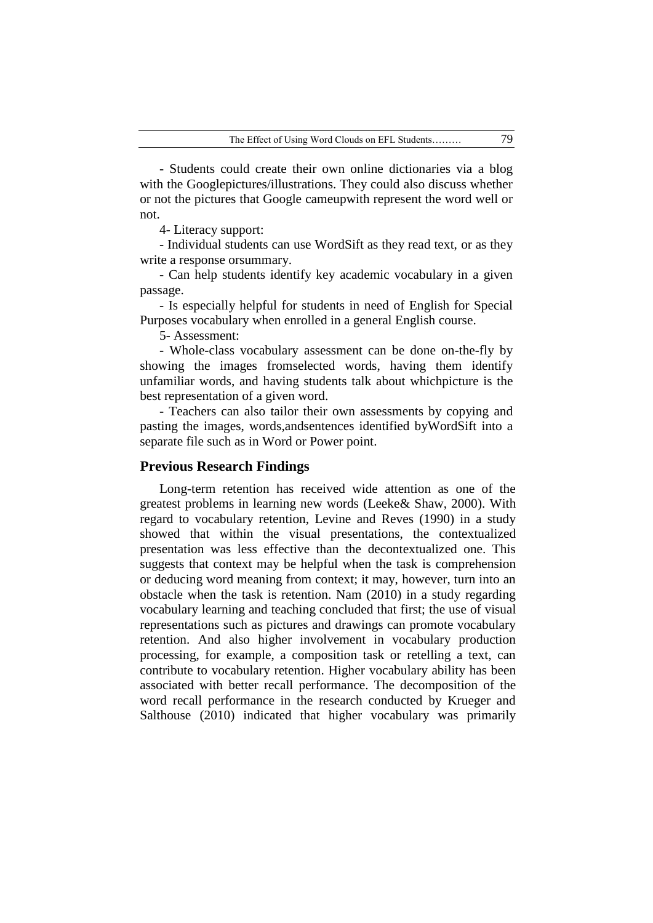- Students could create their own online dictionaries via a blog with the Googlepictures/illustrations. They could also discuss whether or not the pictures that Google cameupwith represent the word well or not.

4- Literacy support:

- Individual students can use WordSift as they read text, or as they write a response orsummary.

- Can help students identify key academic vocabulary in a given passage.

- Is especially helpful for students in need of English for Special Purposes vocabulary when enrolled in a general English course.

5- Assessment:

- Whole-class vocabulary assessment can be done on-the-fly by showing the images fromselected words, having them identify unfamiliar words, and having students talk about whichpicture is the best representation of a given word.

- Teachers can also tailor their own assessments by copying and pasting the images, words,andsentences identified byWordSift into a separate file such as in Word or Power point.

## **Previous Research Findings**

Long-term retention has received wide attention as one of the greatest problems in learning new words (Leeke& Shaw, 2000). With regard to vocabulary retention, Levine and Reves (1990) in a study showed that within the visual presentations, the contextualized presentation was less effective than the decontextualized one. This suggests that context may be helpful when the task is comprehension or deducing word meaning from context; it may, however, turn into an obstacle when the task is retention. Nam (2010) in a study regarding vocabulary learning and teaching concluded that first; the use of visual representations such as pictures and drawings can promote vocabulary retention. And also higher involvement in vocabulary production processing, for example, a composition task or retelling a text, can contribute to vocabulary retention. Higher vocabulary ability has been associated with better recall performance. The decomposition of the word recall performance in the research conducted by Krueger and Salthouse (2010) indicated that higher vocabulary was primarily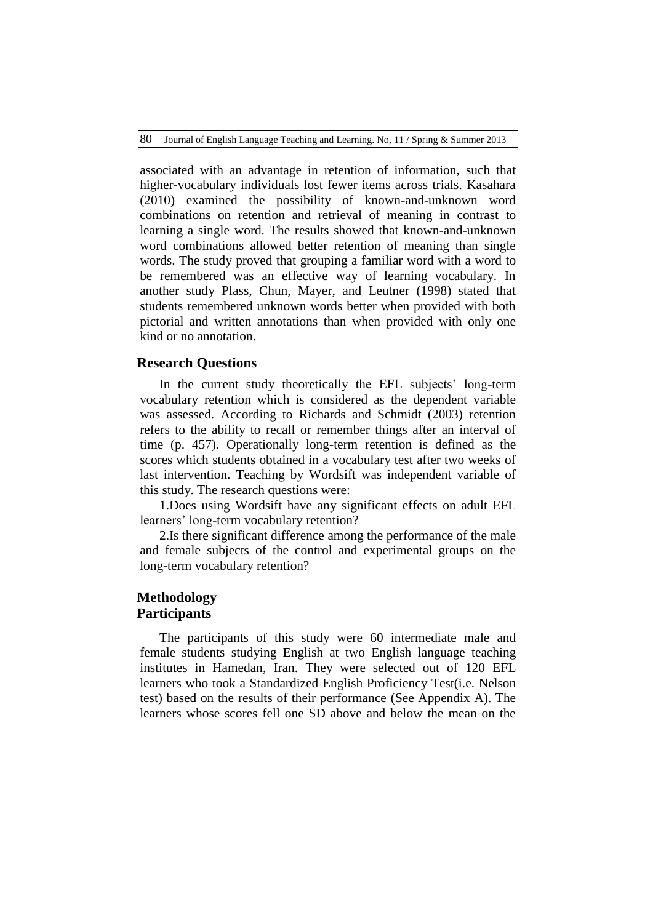associated with an advantage in retention of information, such that higher-vocabulary individuals lost fewer items across trials. Kasahara (2010) examined the possibility of known-and-unknown word combinations on retention and retrieval of meaning in contrast to learning a single word. The results showed that known-and-unknown word combinations allowed better retention of meaning than single words. The study proved that grouping a familiar word with a word to be remembered was an effective way of learning vocabulary. In another study Plass, Chun, Mayer, and Leutner (1998) stated that students remembered unknown words better when provided with both pictorial and written annotations than when provided with only one kind or no annotation.

### **Research Questions**

In the current study theoretically the EFL subjects' long-term vocabulary retention which is considered as the dependent variable was assessed. According to Richards and Schmidt (2003) retention refers to the ability to recall or remember things after an interval of time (p. 457)*.* Operationally long-term retention is defined as the scores which students obtained in a vocabulary test after two weeks of last intervention. Teaching by Wordsift was independent variable of this study. The research questions were:

1.Does using Wordsift have any significant effects on adult EFL learners' long-term vocabulary retention?

2.Is there significant difference among the performance of the male and female subjects of the control and experimental groups on the long-term vocabulary retention?

# **Methodology Participants**

The participants of this study were 60 intermediate male and female students studying English at two English language teaching institutes in Hamedan, Iran. They were selected out of 120 EFL learners who took a Standardized English Proficiency Test(i.e. Nelson test) based on the results of their performance (See Appendix A). The learners whose scores fell one SD above and below the mean on the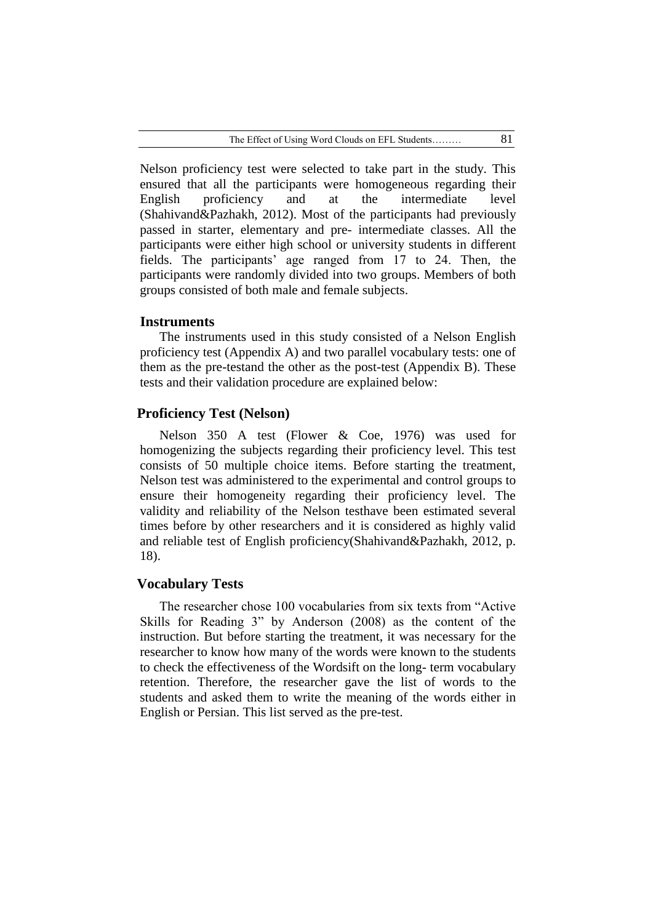Nelson proficiency test were selected to take part in the study. This ensured that all the participants were homogeneous regarding their English proficiency and at the intermediate level (Shahivand&Pazhakh, 2012). Most of the participants had previously passed in starter, elementary and pre- intermediate classes. All the participants were either high school or university students in different fields. The participants' age ranged from 17 to 24. Then, the participants were randomly divided into two groups. Members of both groups consisted of both male and female subjects.

#### **Instruments**

The instruments used in this study consisted of a Nelson English proficiency test (Appendix A) and two parallel vocabulary tests: one of them as the pre-testand the other as the post-test (Appendix B). These tests and their validation procedure are explained below:

## **Proficiency Test (Nelson)**

Nelson 350 A test (Flower & Coe, 1976) was used for homogenizing the subjects regarding their proficiency level. This test consists of 50 multiple choice items. Before starting the treatment, Nelson test was administered to the experimental and control groups to ensure their homogeneity regarding their proficiency level. The validity and reliability of the Nelson testhave been estimated several times before by other researchers and it is considered as highly valid and reliable test of English proficiency(Shahivand&Pazhakh, 2012, p. 18).

### **Vocabulary Tests**

The researcher chose 100 vocabularies from six texts from "Active Skills for Reading 3" by Anderson (2008) as the content of the instruction. But before starting the treatment, it was necessary for the researcher to know how many of the words were known to the students to check the effectiveness of the Wordsift on the long- term vocabulary retention. Therefore, the researcher gave the list of words to the students and asked them to write the meaning of the words either in English or Persian. This list served as the pre-test.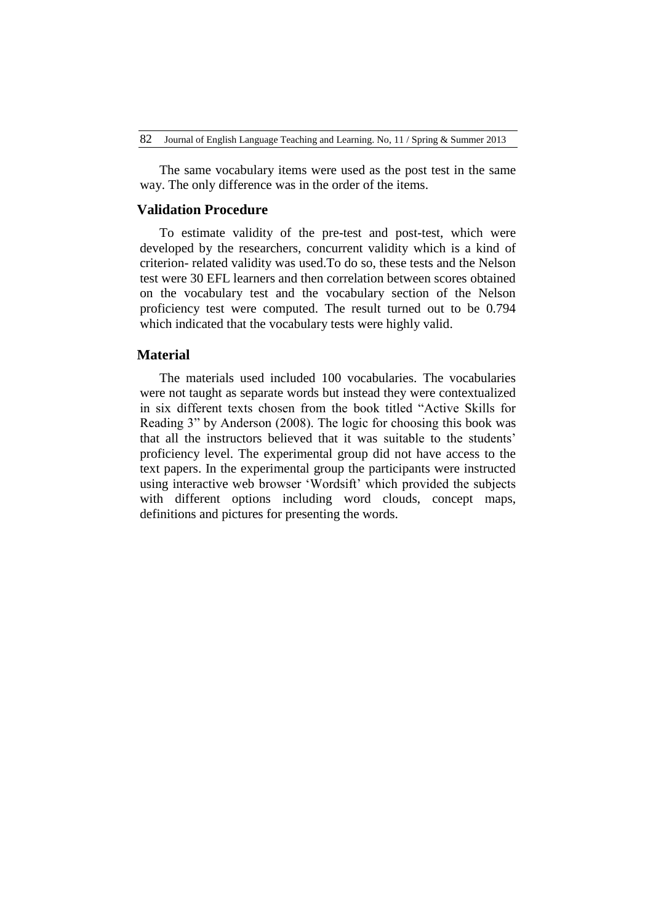The same vocabulary items were used as the post test in the same way. The only difference was in the order of the items.

# **Validation Procedure**

To estimate validity of the pre-test and post-test, which were developed by the researchers, concurrent validity which is a kind of criterion- related validity was used.To do so, these tests and the Nelson test were 30 EFL learners and then correlation between scores obtained on the vocabulary test and the vocabulary section of the Nelson proficiency test were computed. The result turned out to be 0.794 which indicated that the vocabulary tests were highly valid.

## **Material**

The materials used included 100 vocabularies. The vocabularies were not taught as separate words but instead they were contextualized in six different texts chosen from the book titled "Active Skills for Reading 3" by Anderson (2008). The logic for choosing this book was that all the instructors believed that it was suitable to the students" proficiency level. The experimental group did not have access to the text papers. In the experimental group the participants were instructed using interactive web browser "Wordsift" which provided the subjects with different options including word clouds, concept maps, definitions and pictures for presenting the words.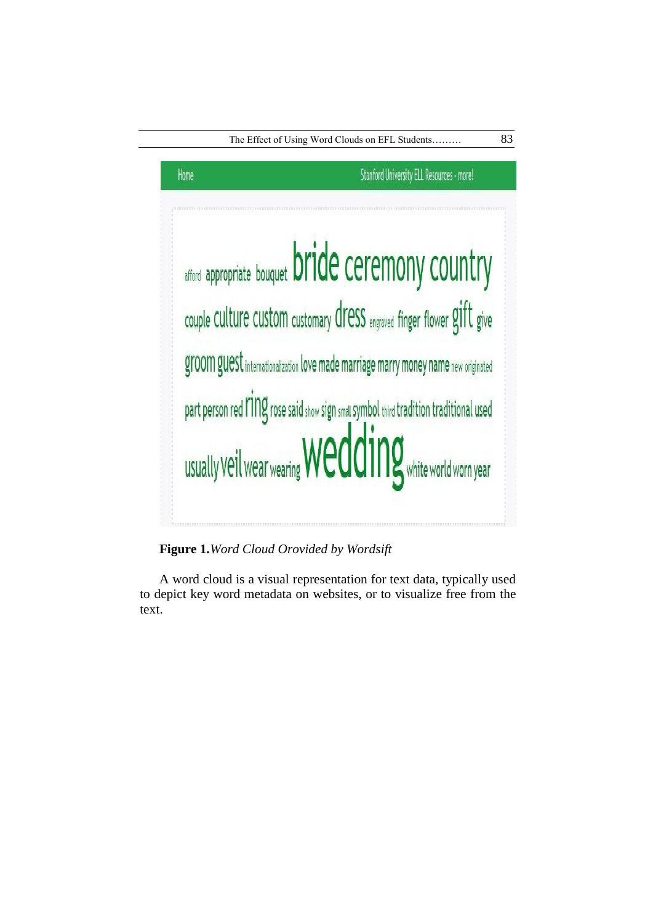

**Figure 1.***Word Cloud Orovided by Wordsift*

A word cloud is a visual representation for text data, typically used to depict key word metadata on websites, or to visualize free from the text.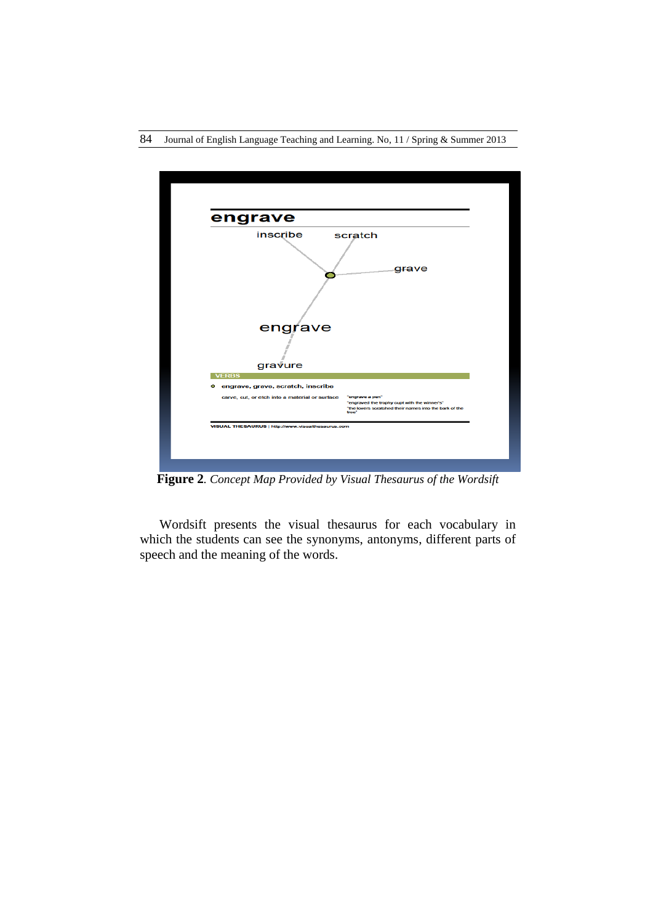



**Figure 2***. Concept Map Provided by Visual Thesaurus of the Wordsift*

Wordsift presents the visual thesaurus for each vocabulary in which the students can see the synonyms, antonyms, different parts of speech and the meaning of the words.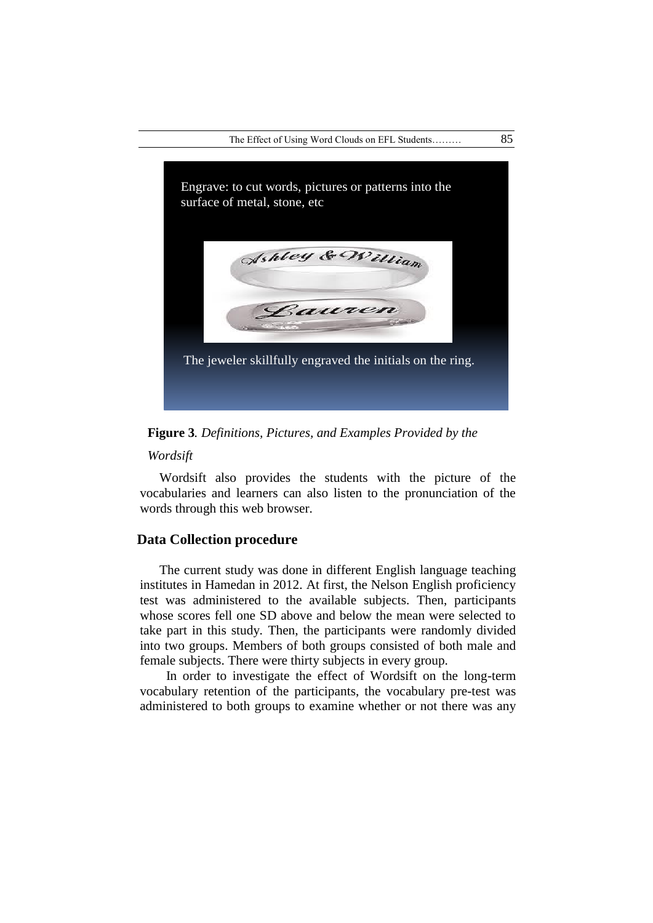

**Figure 3***. Definitions, Pictures, and Examples Provided by the* 

#### *Wordsift*

Wordsift also provides the students with the picture of the vocabularies and learners can also listen to the pronunciation of the words through this web browser.

# **Data Collection procedure**

The current study was done in different English language teaching institutes in Hamedan in 2012. At first, the Nelson English proficiency test was administered to the available subjects. Then, participants whose scores fell one SD above and below the mean were selected to take part in this study. Then, the participants were randomly divided into two groups. Members of both groups consisted of both male and female subjects. There were thirty subjects in every group.

 In order to investigate the effect of Wordsift on the long-term vocabulary retention of the participants, the vocabulary pre-test was administered to both groups to examine whether or not there was any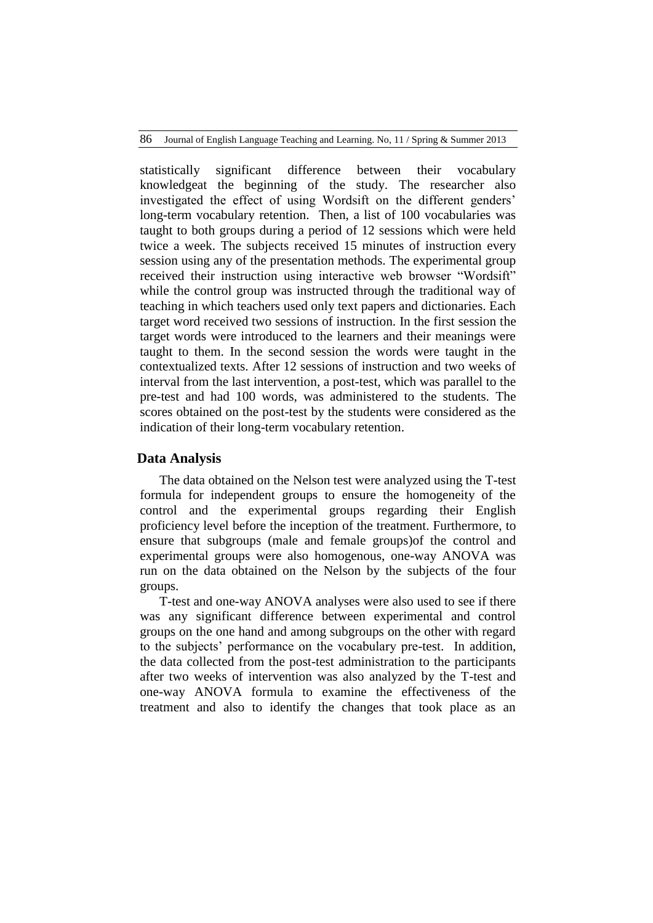statistically significant difference between their vocabulary knowledgeat the beginning of the study. The researcher also investigated the effect of using Wordsift on the different genders' long-term vocabulary retention. Then, a list of 100 vocabularies was taught to both groups during a period of 12 sessions which were held twice a week. The subjects received 15 minutes of instruction every session using any of the presentation methods. The experimental group received their instruction using interactive web browser "Wordsift" while the control group was instructed through the traditional way of teaching in which teachers used only text papers and dictionaries. Each target word received two sessions of instruction. In the first session the target words were introduced to the learners and their meanings were taught to them. In the second session the words were taught in the contextualized texts. After 12 sessions of instruction and two weeks of interval from the last intervention, a post-test, which was parallel to the pre-test and had 100 words, was administered to the students. The scores obtained on the post-test by the students were considered as the indication of their long-term vocabulary retention.

#### **Data Analysis**

The data obtained on the Nelson test were analyzed using the T-test formula for independent groups to ensure the homogeneity of the control and the experimental groups regarding their English proficiency level before the inception of the treatment. Furthermore, to ensure that subgroups (male and female groups)of the control and experimental groups were also homogenous, one-way ANOVA was run on the data obtained on the Nelson by the subjects of the four groups.

T-test and one-way ANOVA analyses were also used to see if there was any significant difference between experimental and control groups on the one hand and among subgroups on the other with regard to the subjects" performance on the vocabulary pre-test. In addition, the data collected from the post-test administration to the participants after two weeks of intervention was also analyzed by the T-test and one-way ANOVA formula to examine the effectiveness of the treatment and also to identify the changes that took place as an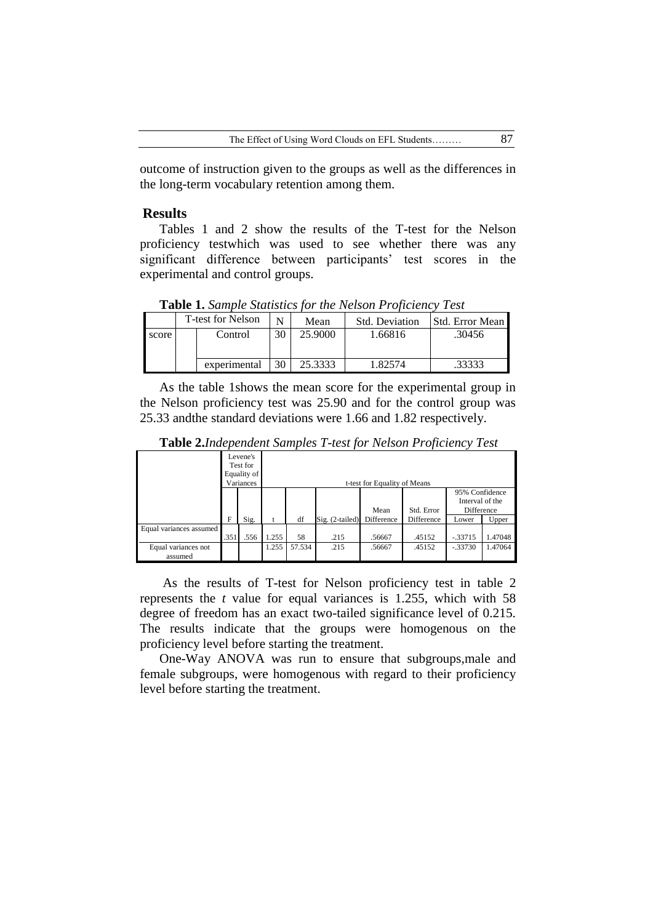outcome of instruction given to the groups as well as the differences in the long-term vocabulary retention among them.

## **Results**

Tables 1 and 2 show the results of the T-test for the Nelson proficiency testwhich was used to see whether there was any significant difference between participants' test scores in the experimental and control groups.

**Table 1.** *Sample Statistics for the Nelson Proficiency Test*

|       | <b>T-test for Nelson</b> |              | N  | Mean    | <b>Std. Deviation</b> | Std. Error Mean |
|-------|--------------------------|--------------|----|---------|-----------------------|-----------------|
| score |                          | Control      | 30 | 25.9000 | 1.66816               | .30456          |
|       |                          |              |    |         |                       |                 |
|       |                          | experimental | 30 | 25.3333 | .82574                | .33333          |

As the table 1shows the mean score for the experimental group in the Nelson proficiency test was 25.90 and for the control group was 25.33 andthe standard deviations were 1.66 and 1.82 respectively.

|                                |      | Levene's<br>Test for<br>Equality of<br>Variances |       | t-test for Equality of Means<br>95% Confidence |                   |            |            |                               |         |  |  |
|--------------------------------|------|--------------------------------------------------|-------|------------------------------------------------|-------------------|------------|------------|-------------------------------|---------|--|--|
|                                |      |                                                  |       |                                                |                   | Mean       | Std. Error | Interval of the<br>Difference |         |  |  |
|                                | F    | Sig.                                             |       | df                                             | $Sig. (2-tailed)$ | Difference | Difference | Lower                         | Upper   |  |  |
| Equal variances assumed        | .351 | .556                                             | 1.255 | 58                                             | .215              | .56667     | .45152     | $-.33715$                     | 1.47048 |  |  |
| Equal variances not<br>assumed |      |                                                  | 1.255 | 57.534                                         | .215              | .56667     | .45152     | $-.33730$                     | 1.47064 |  |  |

**Table 2.***Independent Samples T-test for Nelson Proficiency Test*

As the results of T-test for Nelson proficiency test in table 2 represents the *t* value for equal variances is 1.255, which with 58 degree of freedom has an exact two-tailed significance level of 0.215. The results indicate that the groups were homogenous on the proficiency level before starting the treatment.

One-Way ANOVA was run to ensure that subgroups,male and female subgroups, were homogenous with regard to their proficiency level before starting the treatment.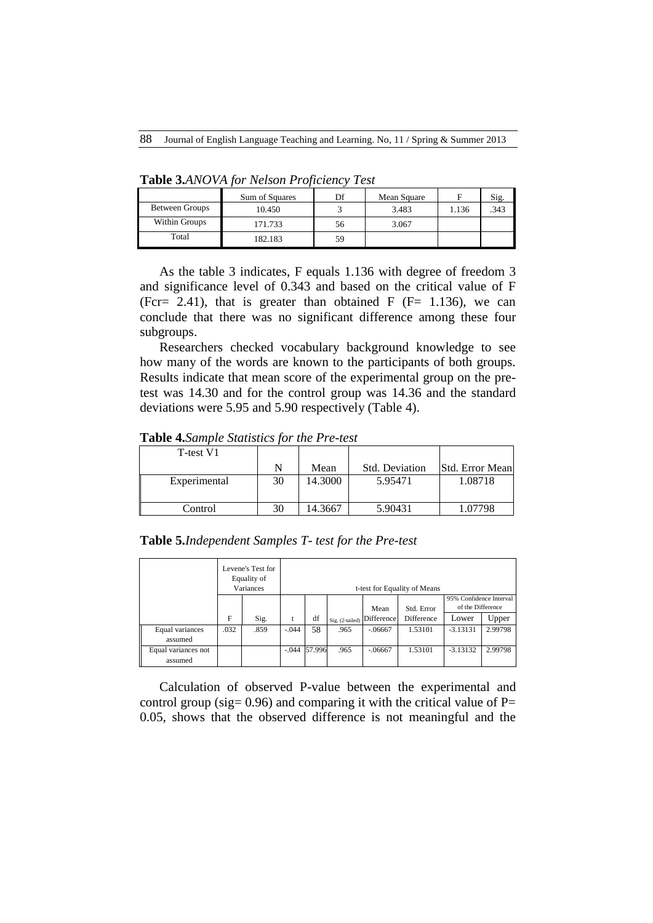|                | Sum of Squares | Df | Mean Square |       |      |
|----------------|----------------|----|-------------|-------|------|
|                |                |    |             |       | Sig. |
| Between Groups | 10.450         |    | 3.483       | 1.136 | 343  |
| Within Groups  | 171.733        | 56 | 3.067       |       |      |
| Total          | 182.183        | 59 |             |       |      |

**Table 3.***ANOVA for Nelson Proficiency Test*

As the table 3 indicates, F equals 1.136 with degree of freedom 3 and significance level of 0.343 and based on the critical value of F (Fcr= 2.41), that is greater than obtained F ( $F = 1.136$ ), we can conclude that there was no significant difference among these four subgroups.

Researchers checked vocabulary background knowledge to see how many of the words are known to the participants of both groups. Results indicate that mean score of the experimental group on the pretest was 14.30 and for the control group was 14.36 and the standard deviations were 5.95 and 5.90 respectively (Table 4).

**Table 4.***Sample Statistics for the Pre-test*

| T-test V1    |    |         |                |                 |
|--------------|----|---------|----------------|-----------------|
|              | N  | Mean    | Std. Deviation | Std. Error Mean |
| Experimental | 30 | 14.3000 | 5.95471        | 1.08718         |
| Control      | 30 | 14.3667 | 5.90431        | 1.07798         |

**Table 5.***Independent Samples T- test for the Pre-test*

|                                |      | Levene's Test for<br>Equality of<br>Variances |         | t-test for Equality of Means |                 |            |            |                                              |         |  |  |  |
|--------------------------------|------|-----------------------------------------------|---------|------------------------------|-----------------|------------|------------|----------------------------------------------|---------|--|--|--|
|                                |      |                                               |         |                              |                 | Mean       | Std. Error | 95% Confidence Interval<br>of the Difference |         |  |  |  |
|                                | F    | Sig.                                          | t       | df                           | Sig. (2-tailed) | Difference | Difference | Lower                                        | Upper   |  |  |  |
| Equal variances<br>assumed     | .032 | .859                                          | $-.044$ | 58                           | .965            | $-.06667$  | 1.53101    | $-3.13131$                                   | 2.99798 |  |  |  |
| Equal variances not<br>assumed |      |                                               | $-.044$ | 57.996                       | .965            | $-.06667$  | 1.53101    | $-3.13132$                                   | 2.99798 |  |  |  |

Calculation of observed P-value between the experimental and control group (sig=  $0.96$ ) and comparing it with the critical value of P= 0.05, shows that the observed difference is not meaningful and the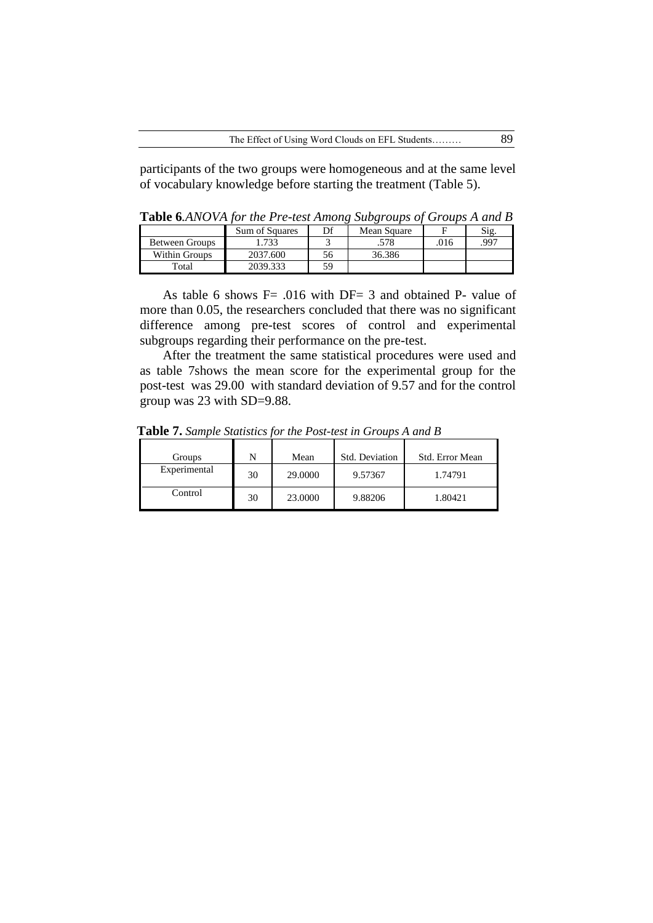participants of the two groups were homogeneous and at the same level of vocabulary knowledge before starting the treatment (Table 5).

**Table 6***.ANOVA for the Pre-test Among Subgroups of Groups A and B*

|                | <b>Sum of Squares</b> | Df | Mean Square |      | Sig. |
|----------------|-----------------------|----|-------------|------|------|
| Between Groups | 1.733                 |    | .578        | .016 | .997 |
| Within Groups  | 2037.600              | 56 | 36.386      |      |      |
| Total          | 2039.333              | 59 |             |      |      |

As table 6 shows  $F = .016$  with  $DF = 3$  and obtained P- value of more than 0.05, the researchers concluded that there was no significant difference among pre-test scores of control and experimental subgroups regarding their performance on the pre-test.

After the treatment the same statistical procedures were used and as table 7shows the mean score for the experimental group for the post-test was 29.00 with standard deviation of 9.57 and for the control group was 23 with SD=9.88.

| Groups       |    | Mean    | Std. Deviation | Std. Error Mean |
|--------------|----|---------|----------------|-----------------|
| Experimental | 30 | 29,0000 | 9.57367        | 1.74791         |
| Control      | 30 | 23,0000 | 9.88206        | 1.80421         |

**Table 7.** *Sample Statistics for the Post-test in Groups A and B*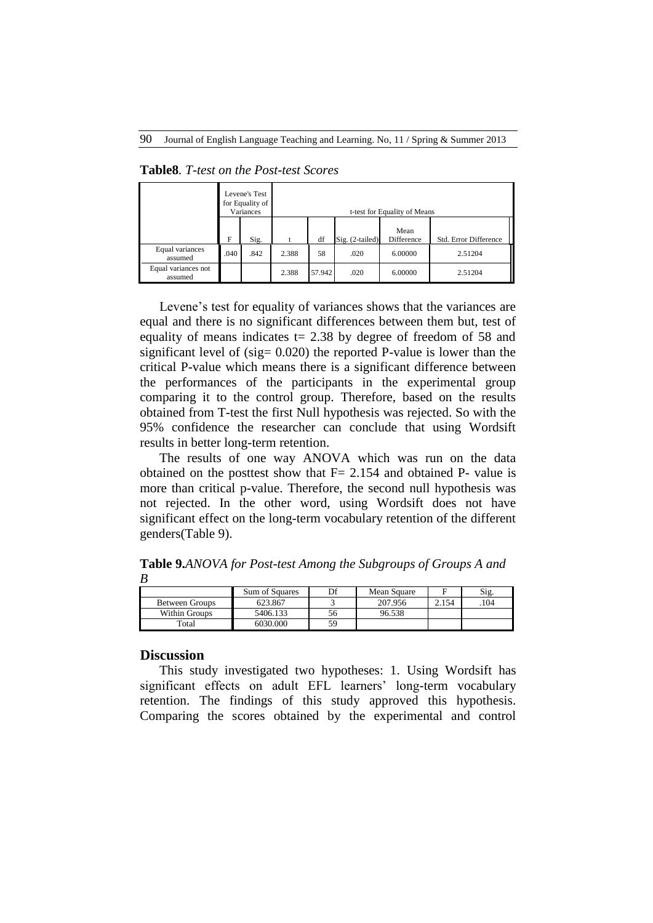|                                | Levene's Test<br>for Equality of<br>Variances |      |       | t-test for Equality of Means |                 |                    |                       |  |  |  |  |  |
|--------------------------------|-----------------------------------------------|------|-------|------------------------------|-----------------|--------------------|-----------------------|--|--|--|--|--|
|                                | F                                             | Sig. | t     | df                           | Sig. (2-tailed) | Mean<br>Difference | Std. Error Difference |  |  |  |  |  |
| Equal variances<br>assumed     | .040                                          | .842 | 2.388 | 58                           | .020            | 6.00000            | 2.51204               |  |  |  |  |  |
| Equal variances not<br>assumed |                                               |      | 2.388 | 57.942                       | .020            | 6.00000            | 2.51204               |  |  |  |  |  |

**Table8***. T-test on the Post-test Scores*

Levene's test for equality of variances shows that the variances are equal and there is no significant differences between them but, test of equality of means indicates  $t = 2.38$  by degree of freedom of 58 and significant level of (sig= 0.020) the reported P-value is lower than the critical P-value which means there is a significant difference between the performances of the participants in the experimental group comparing it to the control group. Therefore, based on the results obtained from T-test the first Null hypothesis was rejected. So with the 95% confidence the researcher can conclude that using Wordsift results in better long-term retention.

The results of one way ANOVA which was run on the data obtained on the posttest show that  $F = 2.154$  and obtained P- value is more than critical p-value. Therefore, the second null hypothesis was not rejected. In the other word, using Wordsift does not have significant effect on the long-term vocabulary retention of the different genders(Table 9).

|                       | Sum of Squares | Df | Mean Square |       | Sig. |
|-----------------------|----------------|----|-------------|-------|------|
| <b>Between Groups</b> | 623.867        |    | 207.956     | 2.154 | 104  |
| Within Groups         | 5406.133       | 56 | 96.538      |       |      |
| Total                 | 6030.000       | 59 |             |       |      |

**Table 9.***ANOVA for Post-test Among the Subgroups of Groups A and B*

#### **Discussion**

This study investigated two hypotheses: 1. Using Wordsift has significant effects on adult EFL learners' long-term vocabulary retention. The findings of this study approved this hypothesis. Comparing the scores obtained by the experimental and control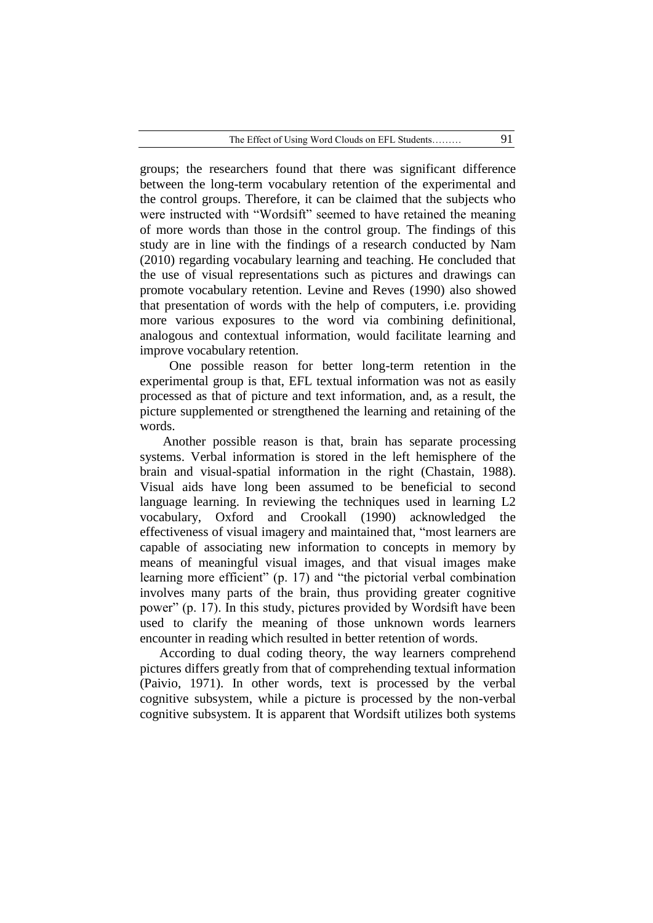groups; the researchers found that there was significant difference between the long-term vocabulary retention of the experimental and the control groups. Therefore, it can be claimed that the subjects who were instructed with "Wordsift" seemed to have retained the meaning of more words than those in the control group. The findings of this study are in line with the findings of a research conducted by Nam (2010) regarding vocabulary learning and teaching. He concluded that the use of visual representations such as pictures and drawings can promote vocabulary retention. Levine and Reves (1990) also showed that presentation of words with the help of computers, i.e. providing more various exposures to the word via combining definitional, analogous and contextual information, would facilitate learning and improve vocabulary retention.

 One possible reason for better long-term retention in the experimental group is that, EFL textual information was not as easily processed as that of picture and text information, and, as a result, the picture supplemented or strengthened the learning and retaining of the words.

Another possible reason is that, brain has separate processing systems. Verbal information is stored in the left hemisphere of the brain and visual-spatial information in the right (Chastain, 1988). Visual aids have long been assumed to be beneficial to second language learning. In reviewing the techniques used in learning L2 vocabulary, Oxford and Crookall (1990) acknowledged the effectiveness of visual imagery and maintained that, "most learners are capable of associating new information to concepts in memory by means of meaningful visual images, and that visual images make learning more efficient" (p. 17) and "the pictorial verbal combination involves many parts of the brain, thus providing greater cognitive power" (p. 17). In this study, pictures provided by Wordsift have been used to clarify the meaning of those unknown words learners encounter in reading which resulted in better retention of words.

According to dual coding theory, the way learners comprehend pictures differs greatly from that of comprehending textual information (Paivio, 1971). In other words, text is processed by the verbal cognitive subsystem, while a picture is processed by the non-verbal cognitive subsystem. It is apparent that Wordsift utilizes both systems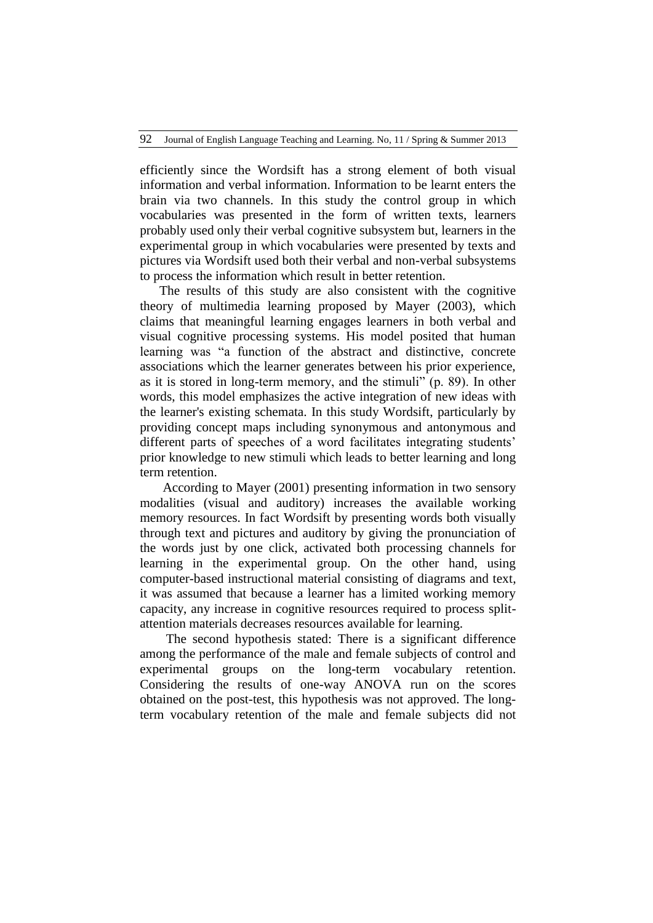efficiently since the Wordsift has a strong element of both visual information and verbal information. Information to be learnt enters the brain via two channels. In this study the control group in which vocabularies was presented in the form of written texts, learners probably used only their verbal cognitive subsystem but, learners in the experimental group in which vocabularies were presented by texts and pictures via Wordsift used both their verbal and non-verbal subsystems to process the information which result in better retention.

The results of this study are also consistent with the cognitive theory of multimedia learning proposed by Mayer (2003), which claims that meaningful learning engages learners in both verbal and visual cognitive processing systems. His model posited that human learning was "a function of the abstract and distinctive, concrete associations which the learner generates between his prior experience, as it is stored in long-term memory, and the stimuli" (p. 89). In other words, this model emphasizes the active integration of new ideas with the learner's existing schemata. In this study Wordsift, particularly by providing concept maps including synonymous and antonymous and different parts of speeches of a word facilitates integrating students' prior knowledge to new stimuli which leads to better learning and long term retention.

According to Mayer (2001) presenting information in two sensory modalities (visual and auditory) increases the available working memory resources. In fact Wordsift by presenting words both visually through text and pictures and auditory by giving the pronunciation of the words just by one click, activated both processing channels for learning in the experimental group. On the other hand, using computer-based instructional material consisting of diagrams and text, it was assumed that because a learner has a limited working memory capacity, any increase in cognitive resources required to process splitattention materials decreases resources available for learning.

 The second hypothesis stated: There is a significant difference among the performance of the male and female subjects of control and experimental groups on the long-term vocabulary retention. Considering the results of one-way ANOVA run on the scores obtained on the post-test, this hypothesis was not approved. The longterm vocabulary retention of the male and female subjects did not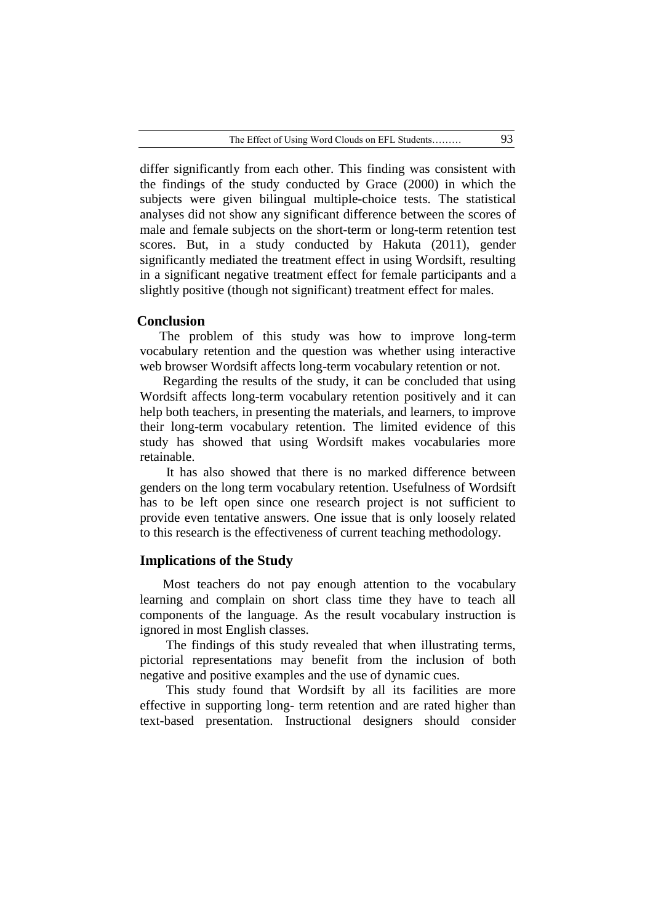differ significantly from each other. This finding was consistent with the findings of the study conducted by Grace (2000) in which the subjects were given bilingual multiple-choice tests. The statistical analyses did not show any significant difference between the scores of male and female subjects on the short-term or long-term retention test scores. But, in a study conducted by Hakuta (2011), gender significantly mediated the treatment effect in using Wordsift, resulting in a significant negative treatment effect for female participants and a slightly positive (though not significant) treatment effect for males.

## **Conclusion**

The problem of this study was how to improve long-term vocabulary retention and the question was whether using interactive web browser Wordsift affects long-term vocabulary retention or not.

Regarding the results of the study, it can be concluded that using Wordsift affects long-term vocabulary retention positively and it can help both teachers, in presenting the materials, and learners, to improve their long-term vocabulary retention. The limited evidence of this study has showed that using Wordsift makes vocabularies more retainable.

 It has also showed that there is no marked difference between genders on the long term vocabulary retention. Usefulness of Wordsift has to be left open since one research project is not sufficient to provide even tentative answers. One issue that is only loosely related to this research is the effectiveness of current teaching methodology.

# **Implications of the Study**

Most teachers do not pay enough attention to the vocabulary learning and complain on short class time they have to teach all components of the language. As the result vocabulary instruction is ignored in most English classes.

 The findings of this study revealed that when illustrating terms, pictorial representations may benefit from the inclusion of both negative and positive examples and the use of dynamic cues.

 This study found that Wordsift by all its facilities are more effective in supporting long- term retention and are rated higher than text-based presentation. Instructional designers should consider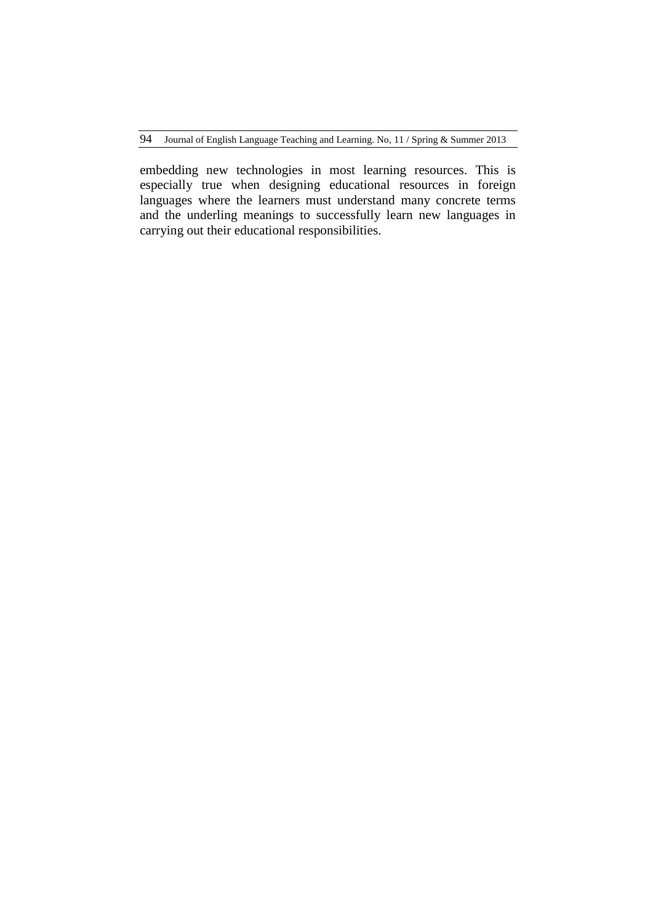embedding new technologies in most learning resources. This is especially true when designing educational resources in foreign languages where the learners must understand many concrete terms and the underling meanings to successfully learn new languages in carrying out their educational responsibilities.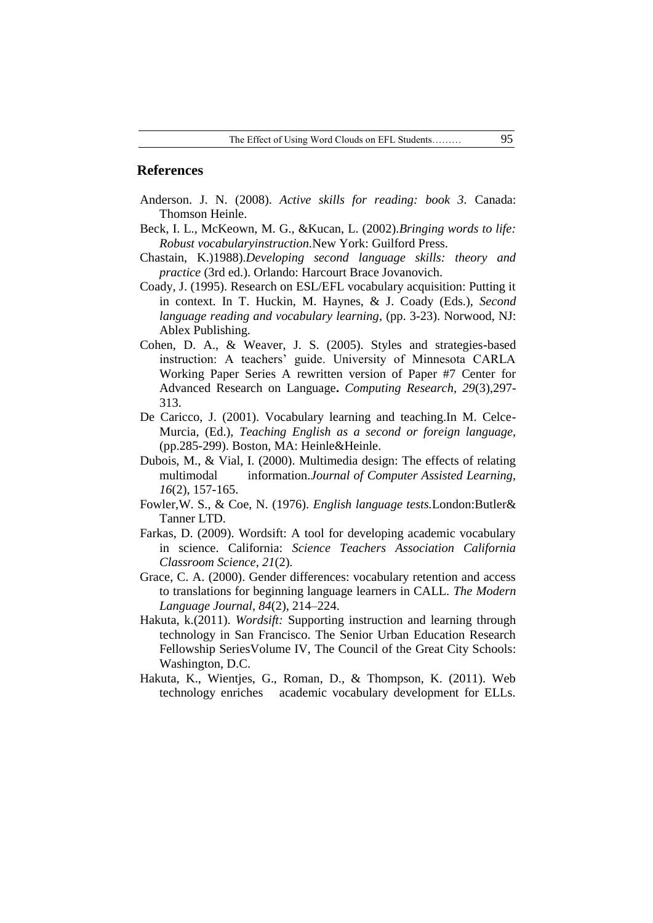#### **References**

- Anderson. J. N. (2008). *Active skills for reading: book 3.* Canada: Thomson Heinle.
- Beck, I. L., McKeown, M. G., &Kucan, L. (2002).*Bringing words to life: Robust vocabularyinstruction.*New York: Guilford Press.
- Chastain, K.)1988).*Developing second language skills: theory and practice* (3rd ed.). Orlando: Harcourt Brace Jovanovich.
- Coady, J. (1995). Research on ESL/EFL vocabulary acquisition: Putting it in context. In T. Huckin, M. Haynes, & J. Coady (Eds.), *Second language reading and vocabulary learning*, (pp. 3-23). Norwood, NJ: Ablex Publishing.
- Cohen, D. A., & Weaver, J. S. (2005). Styles and strategies-based instruction: A teachers' guide. University of Minnesota CARLA Working Paper Series A rewritten version of Paper #7 Center for Advanced Research on Language**.** *Computing Research, 29*(3),297- 313.
- De Caricco, J. (2001). Vocabulary learning and teaching.In M. Celce-Murcia, (Ed.), *Teaching English as a second or foreign language,*  (pp.285-299). Boston, MA: Heinle&Heinle.
- Dubois, M., & Vial, I. (2000). Multimedia design: The effects of relating multimodal information.*Journal of Computer Assisted Learning, 16*(2), 157-165.
- Fowler,W. S., & Coe, N. (1976). *English language tests.*London:Butler& Tanner LTD.
- Farkas, D. (2009). Wordsift: A tool for developing academic vocabulary in science. California: *Science Teachers Association California Classroom Science, 21*(2).
- Grace, C. A. (2000). Gender differences: vocabulary retention and access to translations for beginning language learners in CALL. *The Modern Language Journal*, *84*(2), 214–224.
- Hakuta, k.(2011). *Wordsift:* Supporting instruction and learning through technology in San Francisco. The Senior Urban Education Research Fellowship SeriesVolume IV, The Council of the Great City Schools: Washington, D.C.
- Hakuta, K., Wientjes, G., Roman, D., & Thompson, K. (2011). Web technology enriches academic vocabulary development for ELLs.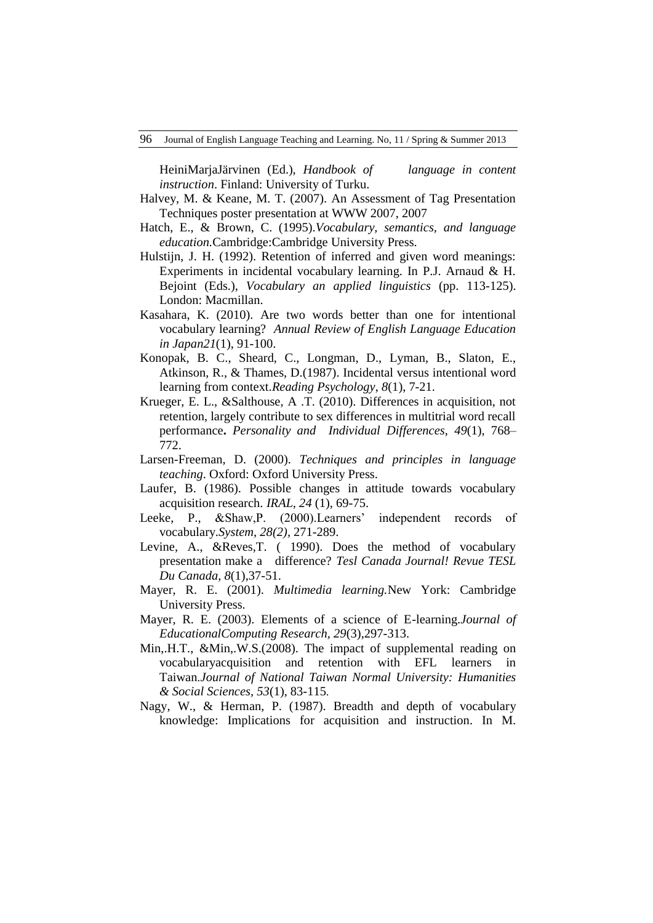HeiniMarjaJärvinen (Ed.), *Handbook of language in content instruction*. Finland: University of Turku.

- Halvey, M. & Keane, M. T. (2007). An Assessment of Tag Presentation Techniques poster presentation at WWW 2007, 2007
- Hatch, E., & Brown, C. (1995).*Vocabulary, semantics, and language education.*Cambridge:Cambridge University Press.
- Hulstijn, J. H. (1992). Retention of inferred and given word meanings: Experiments in incidental vocabulary learning. In P.J. Arnaud & H. Bejoint (Eds.), *Vocabulary an applied linguistics* (pp. 113-125). London: Macmillan.
- Kasahara, K. (2010). Are two words better than one for intentional vocabulary learning? *Annual Review of English Language Education in Japan21*(1), 91-100.
- Konopak, B. C., Sheard, C., Longman, D., Lyman, B., Slaton, E., Atkinson, R., & Thames, D.(1987). Incidental versus intentional word learning from context.*Reading Psychology*, *8*(1), 7-21.
- Krueger, E. L., &Salthouse, A .T. (2010). Differences in acquisition, not retention, largely contribute to sex differences in multitrial word recall performance**.** *Personality and Individual Differences*, *49*(1), 768– 772.
- Larsen-Freeman, D. (2000). *Techniques and principles in language teaching*. Oxford: Oxford University Press.
- Laufer, B. (1986). Possible changes in attitude towards vocabulary acquisition research. *IRAL, 24* (1), 69-75.
- Leeke, P., &Shaw, P. (2000). Learners' independent records of vocabulary.*System, 28(2),* 271-289.
- Levine, A., &Reves,T. ( 1990). Does the method of vocabulary presentation make a difference? *Tesl Canada Journal! Revue TESL Du Canada, 8*(1),37-51.
- Mayer, R. E. (2001). *Multimedia learning.*New York: Cambridge University Press.
- Mayer, R. E. (2003). Elements of a science of E-learning.*Journal of EducationalComputing Research, 29*(3),297-313.
- Min,.H.T., &Min,.W.S.(2008). The impact of supplemental reading on vocabularyacquisition and retention with EFL learners in Taiwan.*Journal of National Taiwan Normal University: Humanities & Social Sciences, 53*(1), 83-115.
- Nagy, W., & Herman, P. (1987). Breadth and depth of vocabulary knowledge: Implications for acquisition and instruction. In M.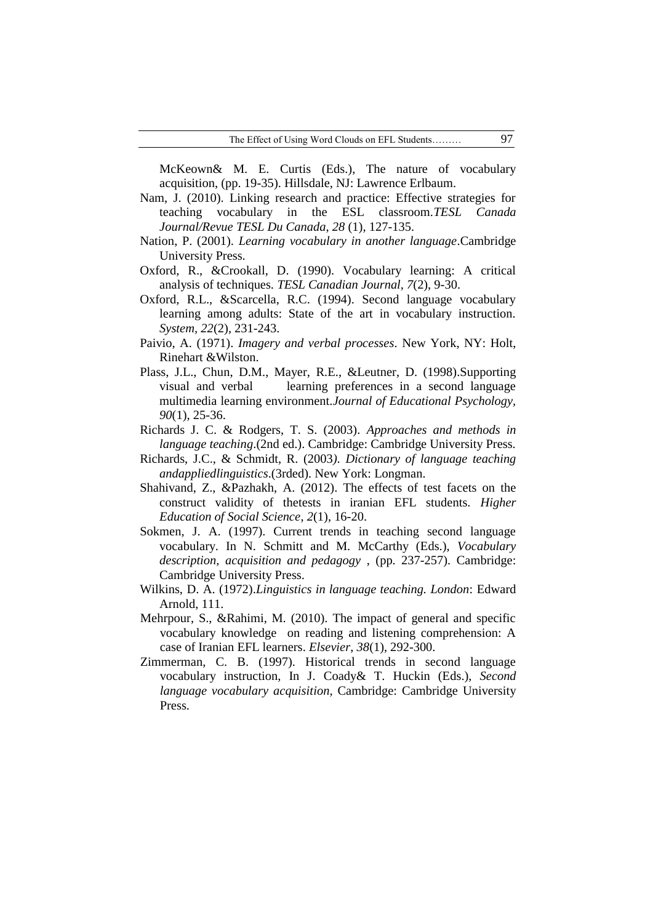McKeown& M. E. Curtis (Eds.), The nature of vocabulary acquisition, (pp. 19-35). Hillsdale, NJ: Lawrence Erlbaum.

- Nam, J. (2010). Linking research and practice: Effective strategies for teaching vocabulary in the ESL classroom.*TESL Canada Journal/Revue TESL Du Canada*, *28* (1), 127-135.
- Nation, P. (2001). *Learning vocabulary in another language*.Cambridge University Press.
- Oxford, R., &Crookall, D. (1990). Vocabulary learning: A critical analysis of techniques. *TESL Canadian Journal, 7*(2), 9-30.
- Oxford, R.L., &Scarcella, R.C. (1994). Second language vocabulary learning among adults: State of the art in vocabulary instruction. *System, 22*(2), 231-243.
- Paivio, A. (1971). *Imagery and verbal processes*. New York, NY: Holt, Rinehart &Wilston.
- Plass, J.L., Chun, D.M., Mayer, R.E., &Leutner, D. (1998).Supporting visual and verbal learning preferences in a second language multimedia learning environment.*Journal of Educational Psychology, 90*(1), 25-36.
- Richards J. C. & Rodgers, T. S. (2003). *Approaches and methods in language teaching*.(2nd ed.). Cambridge: Cambridge University Press.
- Richards, J.C., & Schmidt, R. (2003*). Dictionary of language teaching andappliedlinguistics*.(3rded). New York: Longman.
- Shahivand, Z., &Pazhakh, A. (2012). The effects of test facets on the construct validity of thetests in iranian EFL students. *Higher Education of Social Science*, *2*(1), 16-20.
- Sokmen, J. A. (1997). Current trends in teaching second language vocabulary. In N. Schmitt and M. McCarthy (Eds.), *Vocabulary description, acquisition and pedagogy* , (pp. 237-257). Cambridge: Cambridge University Press.
- Wilkins, D. A. (1972).*Linguistics in language teaching. London*: Edward Arnold, 111.
- Mehrpour, S., &Rahimi, M. (2010). The impact of general and specific vocabulary knowledge on reading and listening comprehension: A case of Iranian EFL learners. *Elsevier*, *38*(1), 292-300.
- Zimmerman, C. B. (1997). Historical trends in second language vocabulary instruction, In J. Coady& T. Huckin (Eds.), *Second language vocabulary acquisition,* Cambridge: Cambridge University Press.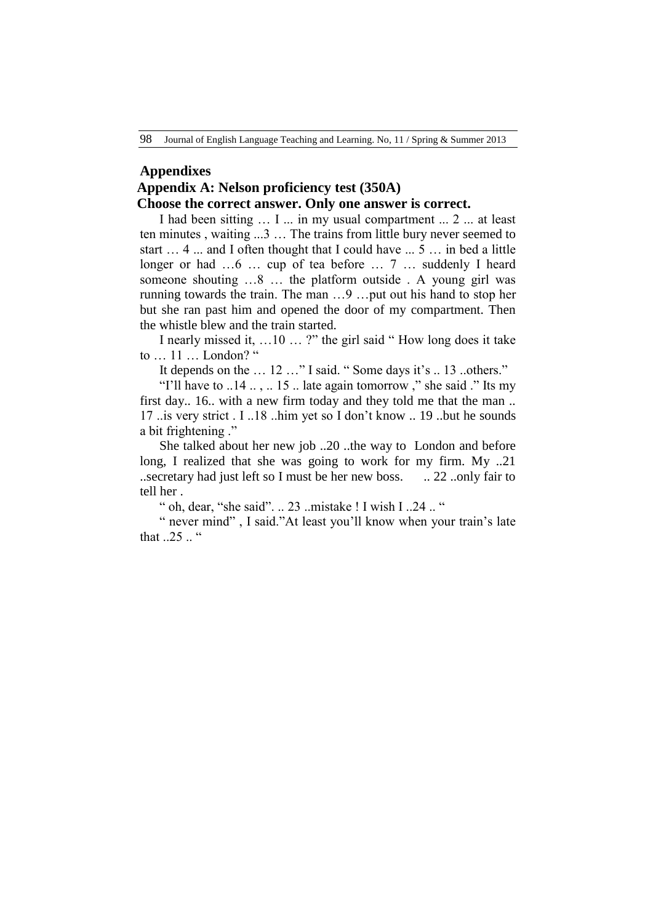#### **Appendixes**

# **Appendix A: Nelson proficiency test (350A)**

## **Choose the correct answer. Only one answer is correct.**

I had been sitting … I ... in my usual compartment ... 2 ... at least ten minutes , waiting ...3 … The trains from little bury never seemed to start … 4 ... and I often thought that I could have ... 5 … in bed a little longer or had ...6 ... cup of tea before ... 7 ... suddenly I heard someone shouting …8 … the platform outside . A young girl was running towards the train. The man …9 …put out his hand to stop her but she ran past him and opened the door of my compartment. Then the whistle blew and the train started.

I nearly missed it, …10 … ?" the girl said " How long does it take to … 11 … London? "

It depends on the ... 12 ..." I said. "Some days it's .. 13 ..others."

"I'll have to  $.14$   $.15$   $.15$   $.1$  late again tomorrow ," she said ." Its my first day.. 16.. with a new firm today and they told me that the man .. 17 ..is very strict . I ..18 ..him yet so I don"t know .. 19 ..but he sounds a bit frightening ."

She talked about her new job ..20 ..the way to London and before long, I realized that she was going to work for my firm. My ..21 ..secretary had just left so I must be her new boss. .. 22 ..only fair to tell her .

" oh, dear, "she said". .. 23 ..mistake ! I wish I ..24 .. "

" never mind", I said."At least you'll know when your train's late that  $25$  "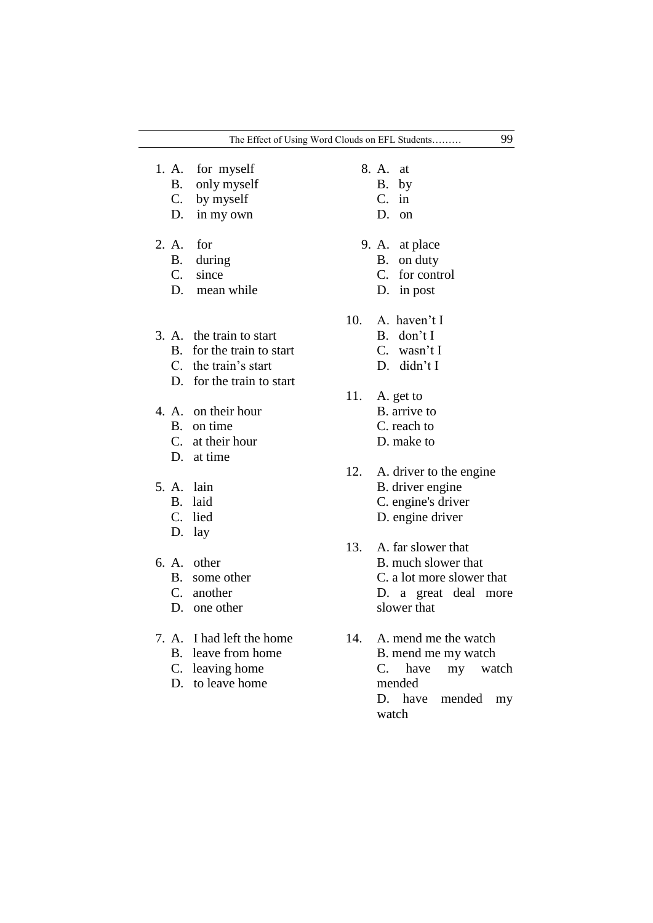|                                         | The Effect of Using Word Clouds on EFL Students                                                         |     |                               |                                                                                       | 99 |
|-----------------------------------------|---------------------------------------------------------------------------------------------------------|-----|-------------------------------|---------------------------------------------------------------------------------------|----|
| Β.<br>D.                                | 1. A. for myself<br>only myself<br>C. by myself<br>in my own                                            |     | 8. A. at<br>B.<br>$C_{\cdot}$ | by<br>in<br>$D.$ on                                                                   |    |
| 2. A.<br><b>B.</b><br>$C_{\cdot}$<br>D. | for<br>during<br>since<br>mean while                                                                    |     | B.<br>C.                      | 9. A. at place<br>on duty<br>for control<br>D. in post                                |    |
| $\bf{B}$                                | 3. A. the train to start<br>for the train to start<br>C. the train's start<br>D. for the train to start | 10. |                               | A. haven't I<br>$B.$ don't I<br>$C.$ wasn't I<br>D. didn't I                          |    |
| <b>B.</b>                               | 4. A. on their hour<br>on time<br>C. at their hour<br>D. at time                                        | 11. |                               | A. get to<br>B. arrive to<br>C. reach to<br>D. make to                                |    |
| 5. A. lain<br>Β.<br>C.                  | laid<br>lied<br>D. lay                                                                                  | 12. |                               | A. driver to the engine<br>B. driver engine<br>C. engine's driver<br>D. engine driver |    |

- 6. A. other
	- B. some other
	- C. another
	- D. one other
- 7. A. I had left the home
	- B. leave from home
	- C. leaving home
	- D. to leave home
- 13. A. far slower that B. much slower that C. a lot more slower that D. a great deal more slower that
- 14. A. mend me the watch B. mend me my watch C. have my watch mended D. have mended my watch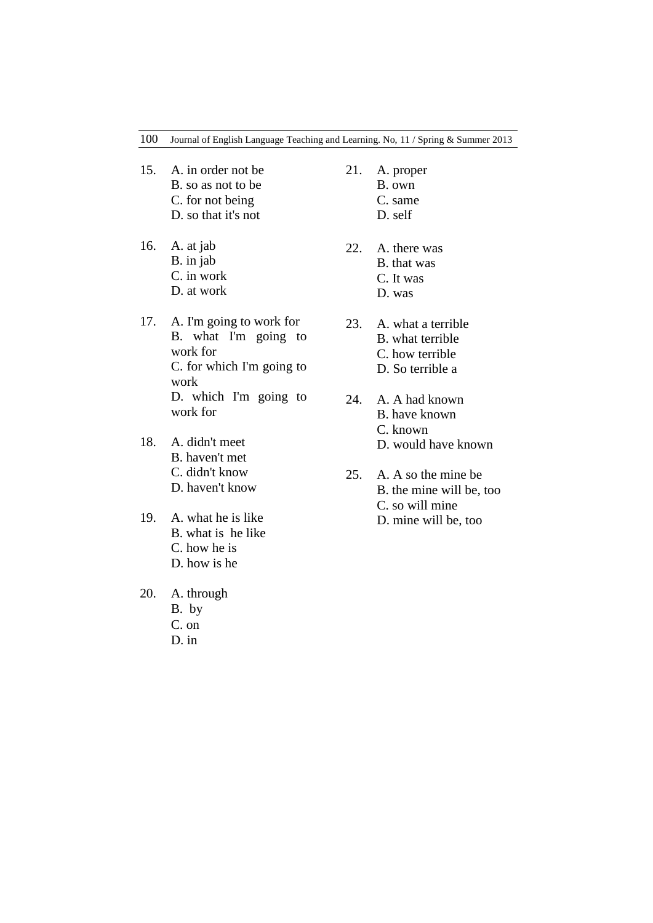- 15. A. in order not be B. so as not to be C. for not being
	- D. so that it's not
- 16. A. at jab B. in jab C. in work D. at work
- 17. A. I'm going to work for B. what I'm going to work for C. for which I'm going to work D. which I'm going to work for
- 18. A. didn't meet B. haven't met C. didn't know D. haven't know
- 19. A. what he is like B. what is he like C. how he is D. how is he
- 20. A. through B. by
	- C. on
	- D. in
- 21. A. proper
	- B. own
		- C. same D. self
		-
- 22. A. there was B. that was C. It was D. was
- 23. A. what a terrible B. what terrible C. how terrible
	- D. So terrible a
- 24. A. A had known B. have known C. known D. would have known
- 25. A. A so the mine be B. the mine will be, too C. so will mine
	- D. mine will be, too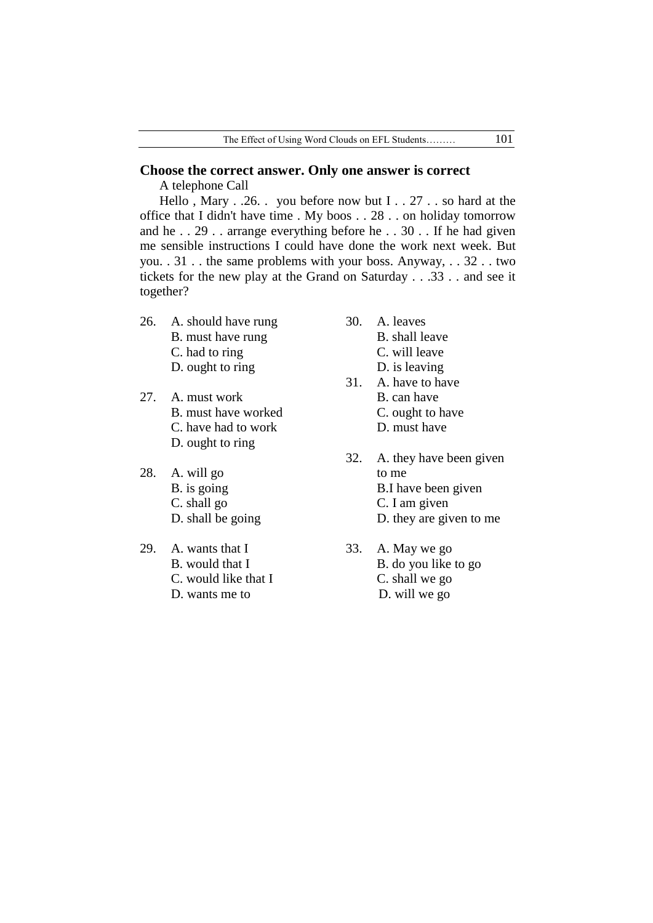# **Choose the correct answer. Only one answer is correct**

A telephone Call

Hello , Mary . .26. . you before now but I . . 27 . . so hard at the office that I didn't have time . My boos . . 28 . . on holiday tomorrow and he . . 29 . . arrange everything before he . . 30 . . If he had given me sensible instructions I could have done the work next week. But you. . 31 . . the same problems with your boss. Anyway, . . 32 . . two tickets for the new play at the Grand on Saturday . . .33 . . and see it together?

- 26. A. should have rung B. must have rung C. had to ring
	- D. ought to ring
- 27. A. must work B. must have worked C. have had to work D. ought to ring
- 28. A. will go B. is going C. shall go D. shall be going
- 29. A. wants that I B. would that I C. would like that I D. wants me to
- 30. A. leaves
	- B. shall leave
	- C. will leave
	- D. is leaving
- 31. A. have to have B. can have C. ought to have D. must have
- 32. A. they have been given to me B.I have been given C. I am given D. they are given to me
- 33. A. May we go B. do you like to go C. shall we go D. will we go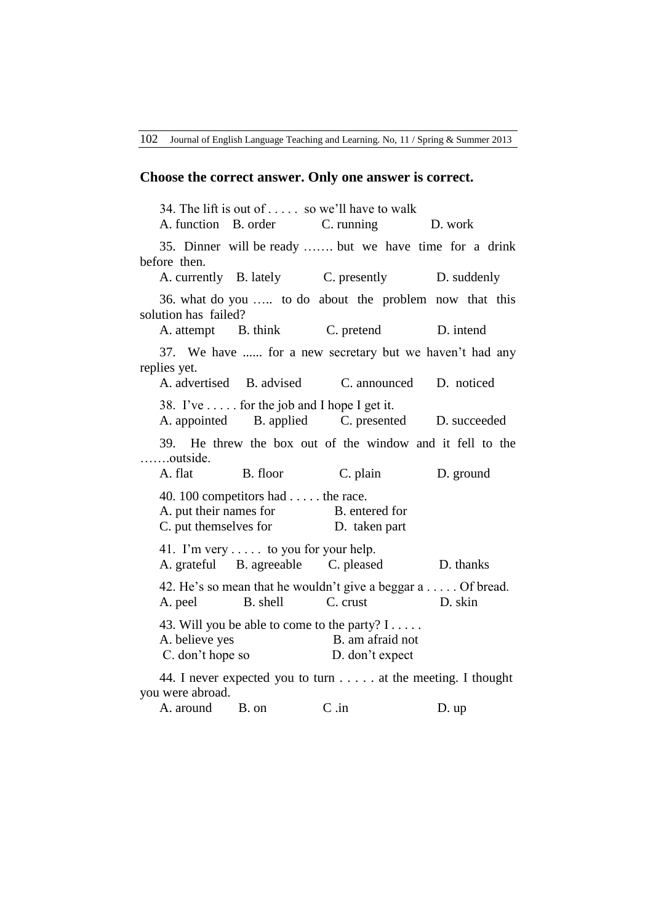### **Choose the correct answer. Only one answer is correct.**

 34. The lift is out of . . . . . so we"ll have to walk A. function B. order C. running D. work 35. Dinner will be ready ……. but we have time for a drink before then. A. currently B. lately C. presently D. suddenly 36. what do you ….. to do about the problem now that this solution has failed? A. attempt B. think C. pretend D. intend 37. We have ...... for a new secretary but we haven"t had any replies yet. A. advertised B. advised C. announced D. noticed 38. I've  $\dots$  for the job and I hope I get it. A. appointed B. applied C. presented D. succeeded 39. He threw the box out of the window and it fell to the …….outside. A. flat B. floor C. plain D. ground 40. 100 competitors had . . . . . the race. A. put their names for B. entered for C. put themselves for D. taken part 41. I"m very . . . . . to you for your help. A. grateful B. agreeable C. pleased D. thanks 42. He"s so mean that he wouldn"t give a beggar a . . . . . Of bread. A. peel B. shell C. crust D. skin 43. Will you be able to come to the party? I . . . . . A. believe yes B. am afraid not C. don't hope so D. don't expect 44. I never expected you to turn . . . . . at the meeting. I thought you were abroad.

A. around B. on C. in D. up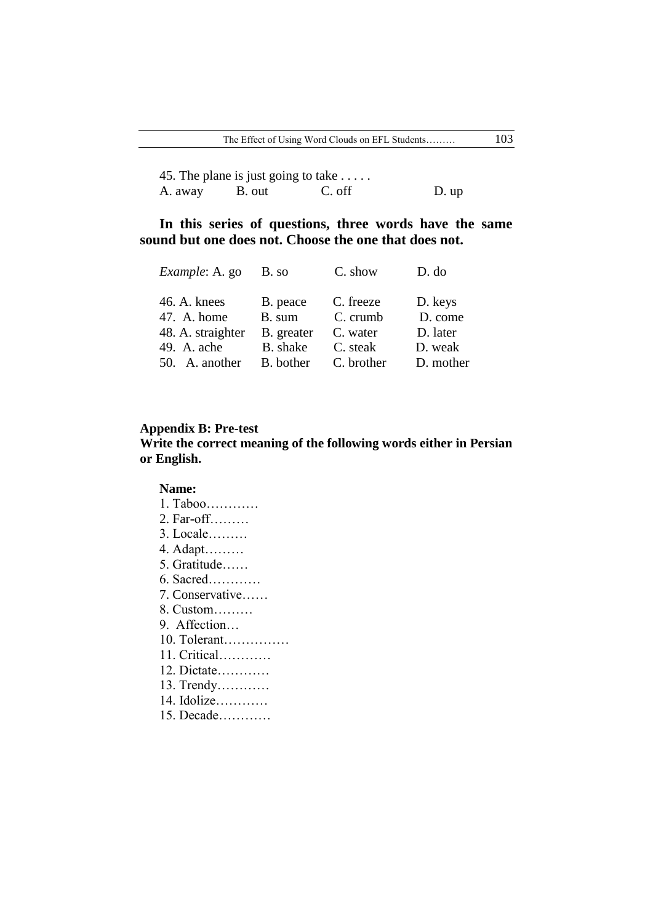45. The plane is just going to take . . . . . A. away B. out C. off D. up

# **In this series of questions, three words have the same sound but one does not. Choose the one that does not.**

| <i>Example: A. go</i> | B. so      | C. show    | D. do     |
|-----------------------|------------|------------|-----------|
| 46. A. knees          | B. peace   | C. freeze  | D. keys   |
| 47. A. home           | B. sum     | C. crumb   | D. come   |
| 48. A. straighter     | B. greater | C. water   | D. later  |
| 49. A. ache           | B. shake   | C. steak   | D. weak   |
| 50. A. another        | B. bother  | C. brother | D. mother |

## **Appendix B: Pre-test**

# **Write the correct meaning of the following words either in Persian or English.**

#### **Name:**

- 1. Taboo…………
- 2. Far-off………
- 3. Locale………
- 4. Adapt………
- 5. Gratitude……
- 6. Sacred…………
- 7. Conservative……
- 8. Custom………
- 9. Affection…
- 10. Tolerant……………
- 11. Critical…………
- 12. Dictate…………
- 13. Trendy…………
- 14. Idolize…………
- 15. Decade…………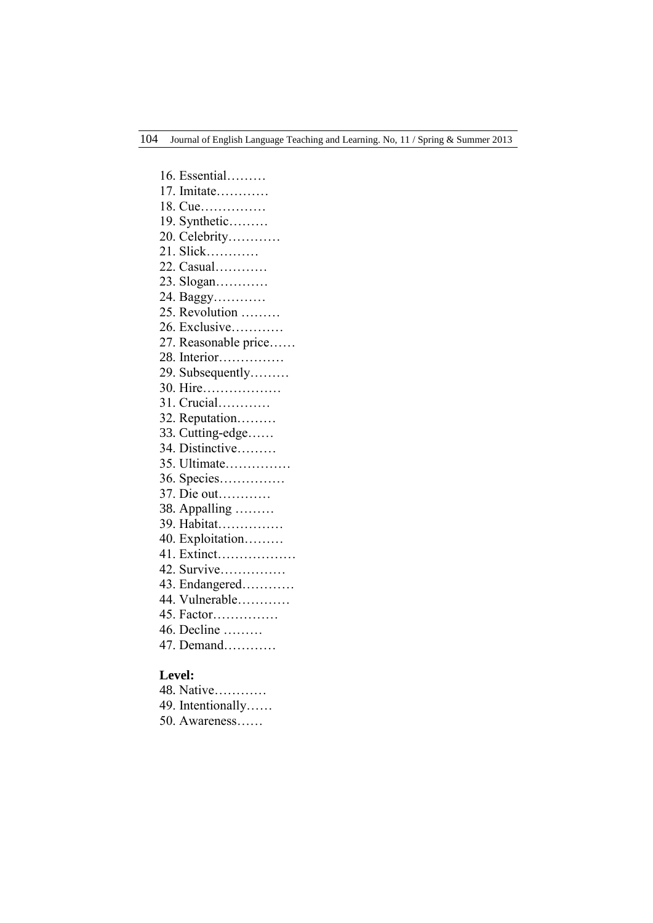16. Essential……… 17. Imitate………… 18. Cue…………… 19. Synthetic……… 20. Celebrity………… 21. Slick………… 22. Casual………… 23. Slogan………… 24. Baggy………… 25. Revolution ……… 26. Exclusive………… 27. Reasonable price…… 28. Interior…………… 29. Subsequently……… 30. Hire……………… 31. Crucial………… 32. Reputation……… 33. Cutting-edge…… 34. Distinctive……… 35. Ultimate…………… 36. Species…………… 37. Die out………… 38. Appalling ……… 39. Habitat…………… 40. Exploitation……… 41. Extinct……………… 42. Survive…………… 43. Endangered………… 44. Vulnerable………… 45. Factor…………… 46. Decline ……… 47. Demand…………

### **Level:**

| 48. Native |  |  |  |  |  |
|------------|--|--|--|--|--|
|            |  |  |  |  |  |

- 49. Intentionally……
- 50. Awareness……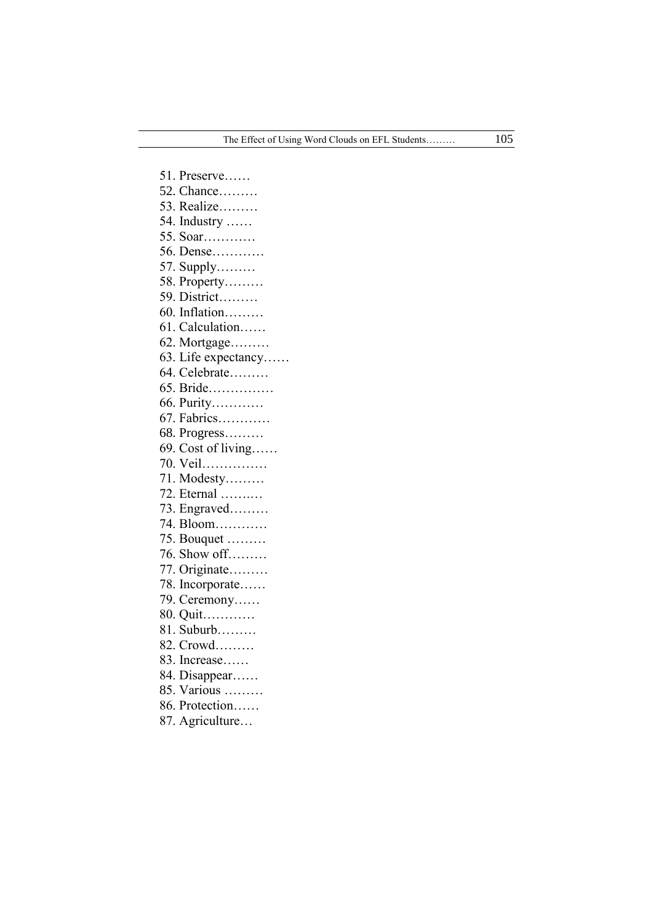51. Preserve…… 52. Chance……… 53. Realize……… 54. Industry …… 55. Soar………… 56. Dense………… 57. Supply……… 58. Property……… 59. District……… 60. Inflation……… 61. Calculation…… 62. Mortgage……… 63. Life expectancy…… 64. Celebrate……… 65. Bride…………… 66. Purity………… 67. Fabrics………… 68. Progress……… 69. Cost of living…… 70. Veil…………… 71. Modesty……… 72. Eternal …….… 73. Engraved……… 74. Bloom………… 75. Bouquet ……… 76. Show off……… 77. Originate……… 78. Incorporate…… 79. Ceremony…… 80. Quit………… 81. Suburb……… 82. Crowd……… 83. Increase…… 84. Disappear…… 85. Various ……… 86. Protection…… 87. Agriculture…